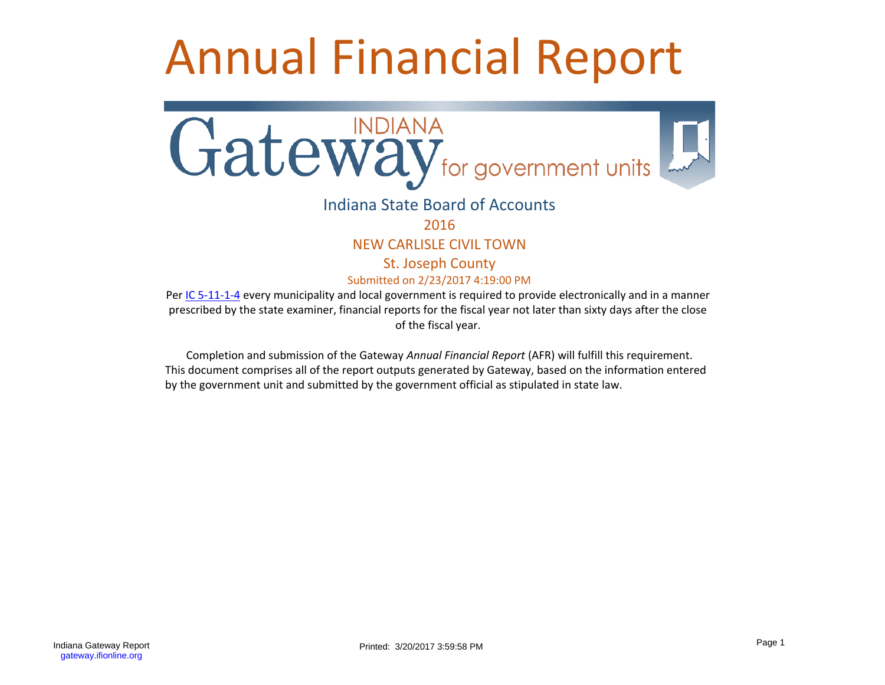# Annual Financial Report



# Indiana State Board of Accounts

2016

NEW CARLISLE CIVIL TOWN

St. Joseph County

Submitted on 2/23/2017 4:19:00 PM

Per [IC 5-11-1-4](http://www.in.gov/legislative/ic/code/title5/ar11/ch1.html#IC5-11-1-4) every municipality and local government is required to provide electronically and in a manner prescribed by the state examiner, financial reports for the fiscal year not later than sixty days after the close of the fiscal year.

Completion and submission of the Gateway *Annual Financial Report* (AFR) will fulfill this requirement. This document comprises all of the report outputs generated by Gateway, based on the information entered by the government unit and submitted by the government official as stipulated in state law.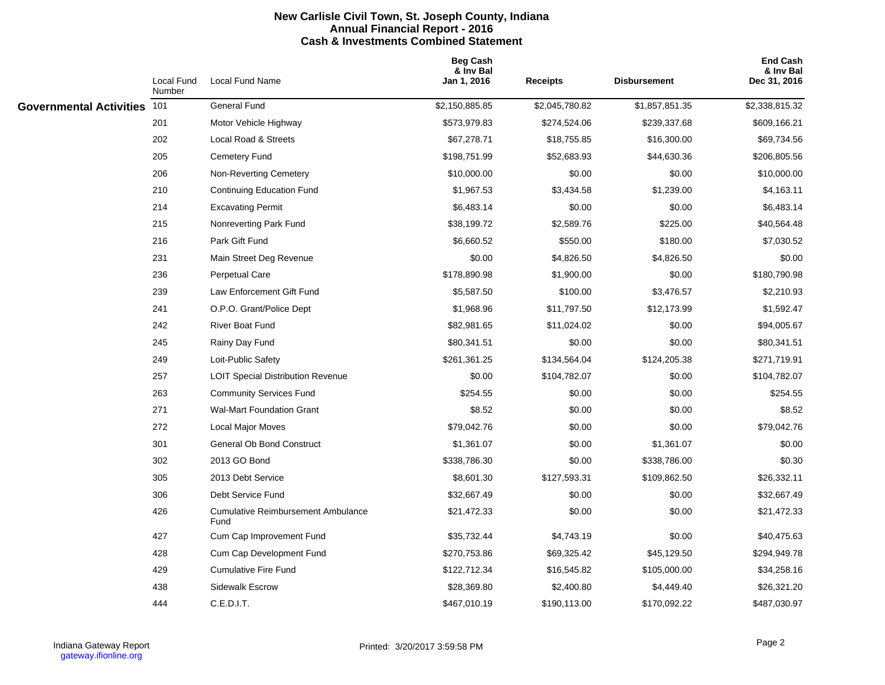#### **New Carlisle Civil Town, St. Joseph County, Indiana Annual Financial Report - 2016 Cash & Investments Combined Statement**

|                                | Local Fund<br>Number | Local Fund Name                                   | <b>Beg Cash</b><br>& Inv Bal<br>Jan 1, 2016 | <b>Receipts</b> | <b>Disbursement</b> | <b>End Cash</b><br>& Inv Bal<br>Dec 31, 2016 |
|--------------------------------|----------------------|---------------------------------------------------|---------------------------------------------|-----------------|---------------------|----------------------------------------------|
| <b>Governmental Activities</b> | 101                  | General Fund                                      | \$2,150,885.85                              | \$2,045,780.82  | \$1,857,851.35      | \$2,338,815.32                               |
|                                | 201                  | Motor Vehicle Highway                             | \$573,979.83                                | \$274,524.06    | \$239,337.68        | \$609,166.21                                 |
|                                | 202                  | Local Road & Streets                              | \$67,278.71                                 | \$18,755.85     | \$16,300.00         | \$69,734.56                                  |
|                                | 205                  | Cemetery Fund                                     | \$198,751.99                                | \$52,683.93     | \$44,630.36         | \$206,805.56                                 |
|                                | 206                  | Non-Reverting Cemetery                            | \$10,000.00                                 | \$0.00          | \$0.00              | \$10,000.00                                  |
|                                | 210                  | Continuing Education Fund                         | \$1,967.53                                  | \$3,434.58      | \$1,239.00          | \$4,163.11                                   |
|                                | 214                  | <b>Excavating Permit</b>                          | \$6,483.14                                  | \$0.00          | \$0.00              | \$6,483.14                                   |
|                                | 215                  | Nonreverting Park Fund                            | \$38,199.72                                 | \$2,589.76      | \$225.00            | \$40,564.48                                  |
|                                | 216                  | Park Gift Fund                                    | \$6,660.52                                  | \$550.00        | \$180.00            | \$7,030.52                                   |
|                                | 231                  | Main Street Deg Revenue                           | \$0.00                                      | \$4,826.50      | \$4,826.50          | \$0.00                                       |
|                                | 236                  | Perpetual Care                                    | \$178,890.98                                | \$1,900.00      | \$0.00              | \$180,790.98                                 |
|                                | 239                  | Law Enforcement Gift Fund                         | \$5,587.50                                  | \$100.00        | \$3,476.57          | \$2,210.93                                   |
|                                | 241                  | O.P.O. Grant/Police Dept                          | \$1,968.96                                  | \$11,797.50     | \$12,173.99         | \$1,592.47                                   |
|                                | 242                  | River Boat Fund                                   | \$82,981.65                                 | \$11,024.02     | \$0.00              | \$94,005.67                                  |
|                                | 245                  | Rainy Day Fund                                    | \$80,341.51                                 | \$0.00          | \$0.00              | \$80,341.51                                  |
|                                | 249                  | Loit-Public Safety                                | \$261,361.25                                | \$134,564.04    | \$124,205.38        | \$271,719.91                                 |
|                                | 257                  | <b>LOIT Special Distribution Revenue</b>          | \$0.00                                      | \$104,782.07    | \$0.00              | \$104,782.07                                 |
|                                | 263                  | <b>Community Services Fund</b>                    | \$254.55                                    | \$0.00          | \$0.00              | \$254.55                                     |
|                                | 271                  | <b>Wal-Mart Foundation Grant</b>                  | \$8.52                                      | \$0.00          | \$0.00              | \$8.52                                       |
|                                | 272                  | <b>Local Major Moves</b>                          | \$79,042.76                                 | \$0.00          | \$0.00              | \$79,042.76                                  |
|                                | 301                  | General Ob Bond Construct                         | \$1,361.07                                  | \$0.00          | \$1,361.07          | \$0.00                                       |
|                                | 302                  | 2013 GO Bond                                      | \$338,786.30                                | \$0.00          | \$338,786.00        | \$0.30                                       |
|                                | 305                  | 2013 Debt Service                                 | \$8,601.30                                  | \$127,593.31    | \$109,862.50        | \$26,332.11                                  |
|                                | 306                  | Debt Service Fund                                 | \$32,667.49                                 | \$0.00          | \$0.00              | \$32,667.49                                  |
|                                | 426                  | <b>Cumulative Reimbursement Ambulance</b><br>Fund | \$21,472.33                                 | \$0.00          | \$0.00              | \$21,472.33                                  |
|                                | 427                  | Cum Cap Improvement Fund                          | \$35,732.44                                 | \$4,743.19      | \$0.00              | \$40,475.63                                  |
|                                | 428                  | Cum Cap Development Fund                          | \$270,753.86                                | \$69,325.42     | \$45,129.50         | \$294,949.78                                 |
|                                | 429                  | <b>Cumulative Fire Fund</b>                       | \$122,712.34                                | \$16,545.82     | \$105,000.00        | \$34,258.16                                  |
|                                | 438                  | Sidewalk Escrow                                   | \$28,369.80                                 | \$2,400.80      | \$4,449.40          | \$26,321.20                                  |
|                                | 444                  | C.E.D.I.T.                                        | \$467,010.19                                | \$190,113.00    | \$170,092.22        | \$487,030.97                                 |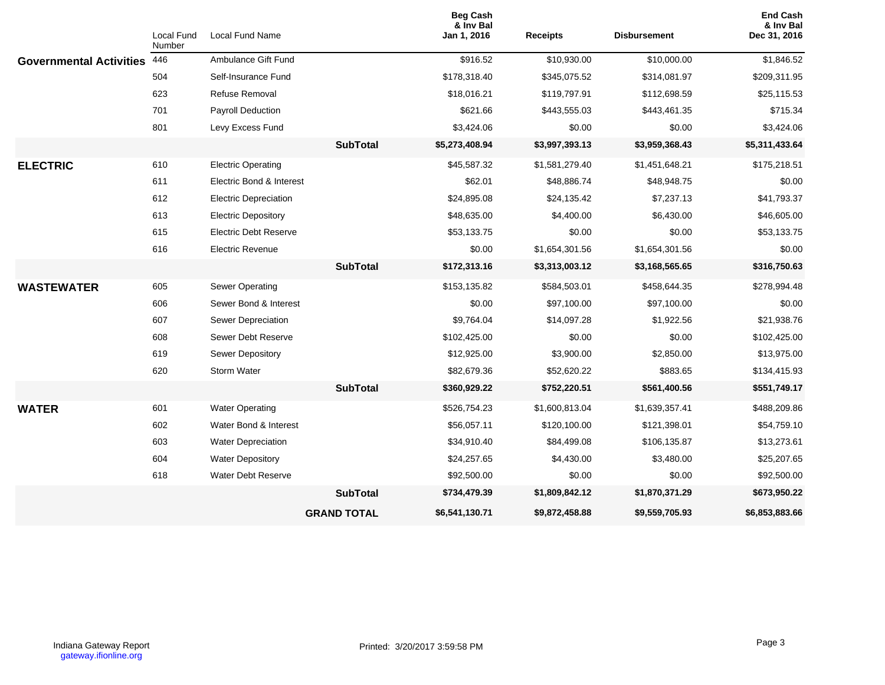|                                | Local Fund    | Local Fund Name              |                    | <b>Beg Cash</b><br>& Inv Bal<br>Jan 1, 2016 | <b>Receipts</b> | <b>Disbursement</b> | <b>End Cash</b><br>& Inv Bal<br>Dec 31, 2016 |
|--------------------------------|---------------|------------------------------|--------------------|---------------------------------------------|-----------------|---------------------|----------------------------------------------|
| <b>Governmental Activities</b> | Number<br>446 | Ambulance Gift Fund          |                    | \$916.52                                    | \$10,930.00     | \$10,000.00         | \$1,846.52                                   |
|                                | 504           | Self-Insurance Fund          |                    | \$178,318.40                                | \$345,075.52    | \$314,081.97        | \$209,311.95                                 |
|                                | 623           | <b>Refuse Removal</b>        |                    | \$18,016.21                                 | \$119,797.91    | \$112,698.59        | \$25,115.53                                  |
|                                | 701           | Payroll Deduction            |                    | \$621.66                                    | \$443,555.03    | \$443,461.35        | \$715.34                                     |
|                                | 801           |                              |                    |                                             | \$0.00          | \$0.00              | \$3,424.06                                   |
|                                |               | Levy Excess Fund             |                    | \$3,424.06                                  |                 |                     |                                              |
|                                |               |                              | <b>SubTotal</b>    | \$5,273,408.94                              | \$3,997,393.13  | \$3,959,368.43      | \$5,311,433.64                               |
| <b>ELECTRIC</b>                | 610           | <b>Electric Operating</b>    |                    | \$45,587.32                                 | \$1,581,279.40  | \$1,451,648.21      | \$175,218.51                                 |
|                                | 611           | Electric Bond & Interest     |                    | \$62.01                                     | \$48,886.74     | \$48,948.75         | \$0.00                                       |
|                                | 612           | <b>Electric Depreciation</b> |                    | \$24,895.08                                 | \$24,135.42     | \$7,237.13          | \$41,793.37                                  |
|                                | 613           | <b>Electric Depository</b>   |                    | \$48,635.00                                 | \$4,400.00      | \$6,430.00          | \$46,605.00                                  |
|                                | 615           | <b>Electric Debt Reserve</b> |                    | \$53,133.75                                 | \$0.00          | \$0.00              | \$53,133.75                                  |
|                                | 616           | <b>Electric Revenue</b>      |                    | \$0.00                                      | \$1,654,301.56  | \$1,654,301.56      | \$0.00                                       |
|                                |               |                              | <b>SubTotal</b>    | \$172,313.16                                | \$3,313,003.12  | \$3,168,565.65      | \$316,750.63                                 |
| <b>WASTEWATER</b>              | 605           | Sewer Operating              |                    | \$153,135.82                                | \$584,503.01    | \$458,644.35        | \$278,994.48                                 |
|                                | 606           | Sewer Bond & Interest        |                    | \$0.00                                      | \$97,100.00     | \$97,100.00         | \$0.00                                       |
|                                | 607           | Sewer Depreciation           |                    | \$9,764.04                                  | \$14,097.28     | \$1,922.56          | \$21,938.76                                  |
|                                | 608           | Sewer Debt Reserve           |                    | \$102,425.00                                | \$0.00          | \$0.00              | \$102,425.00                                 |
|                                | 619           | Sewer Depository             |                    | \$12,925.00                                 | \$3,900.00      | \$2,850.00          | \$13,975.00                                  |
|                                | 620           | Storm Water                  |                    | \$82,679.36                                 | \$52,620.22     | \$883.65            | \$134,415.93                                 |
|                                |               |                              | <b>SubTotal</b>    | \$360,929.22                                | \$752,220.51    | \$561,400.56        | \$551,749.17                                 |
| <b>WATER</b>                   | 601           | <b>Water Operating</b>       |                    | \$526,754.23                                | \$1,600,813.04  | \$1,639,357.41      | \$488,209.86                                 |
|                                | 602           | Water Bond & Interest        |                    | \$56,057.11                                 | \$120,100.00    | \$121,398.01        | \$54,759.10                                  |
|                                | 603           | <b>Water Depreciation</b>    |                    | \$34,910.40                                 | \$84,499.08     | \$106,135.87        | \$13,273.61                                  |
|                                | 604           | <b>Water Depository</b>      |                    | \$24,257.65                                 | \$4,430.00      | \$3,480.00          | \$25,207.65                                  |
|                                | 618           | Water Debt Reserve           |                    | \$92,500.00                                 | \$0.00          | \$0.00              | \$92,500.00                                  |
|                                |               |                              | <b>SubTotal</b>    | \$734,479.39                                | \$1,809,842.12  | \$1,870,371.29      | \$673,950.22                                 |
|                                |               |                              | <b>GRAND TOTAL</b> | \$6,541,130.71                              | \$9,872,458.88  | \$9,559,705.93      | \$6,853,883.66                               |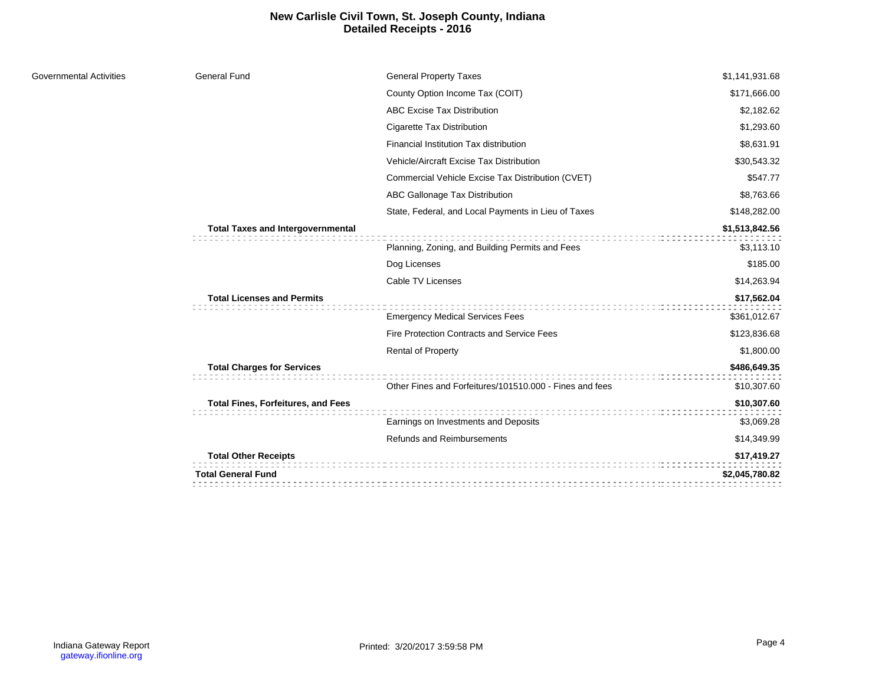## **New Carlisle Civil Town, St. Joseph County, Indiana Detailed Receipts - 2016**

| Governmental Activities | <b>General Fund</b>                       | <b>General Property Taxes</b>                           | \$1,141,931.68 |
|-------------------------|-------------------------------------------|---------------------------------------------------------|----------------|
|                         |                                           | County Option Income Tax (COIT)                         | \$171,666.00   |
|                         |                                           | <b>ABC Excise Tax Distribution</b>                      | \$2,182.62     |
|                         |                                           | Cigarette Tax Distribution                              | \$1,293.60     |
|                         |                                           | Financial Institution Tax distribution                  | \$8,631.91     |
|                         |                                           | Vehicle/Aircraft Excise Tax Distribution                | \$30,543.32    |
|                         |                                           | Commercial Vehicle Excise Tax Distribution (CVET)       | \$547.77       |
|                         |                                           | ABC Gallonage Tax Distribution                          | \$8,763.66     |
|                         |                                           | State, Federal, and Local Payments in Lieu of Taxes     | \$148,282.00   |
|                         | <b>Total Taxes and Intergovernmental</b>  | ::::::::::::::::::::::                                  | \$1,513,842.56 |
|                         |                                           | Planning, Zoning, and Building Permits and Fees         | \$3,113.10     |
|                         |                                           | Dog Licenses                                            | \$185.00       |
|                         |                                           | Cable TV Licenses                                       | \$14,263.94    |
|                         | <b>Total Licenses and Permits</b>         |                                                         | \$17,562.04    |
|                         |                                           | <b>Emergency Medical Services Fees</b>                  | \$361,012.67   |
|                         |                                           | <b>Fire Protection Contracts and Service Fees</b>       | \$123,836.68   |
|                         |                                           | <b>Rental of Property</b>                               | \$1,800.00     |
|                         | <b>Total Charges for Services</b>         |                                                         | \$486,649.35   |
|                         |                                           | Other Fines and Forfeitures/101510.000 - Fines and fees | \$10,307.60    |
|                         | <b>Total Fines, Forfeitures, and Fees</b> |                                                         | \$10,307.60    |
|                         |                                           | Earnings on Investments and Deposits                    | \$3,069.28     |
|                         |                                           | <b>Refunds and Reimbursements</b>                       | \$14,349.99    |
|                         | <b>Total Other Receipts</b>               |                                                         | \$17,419.27    |
|                         | <b>Total General Fund</b>                 |                                                         | \$2,045,780.82 |
|                         |                                           |                                                         |                |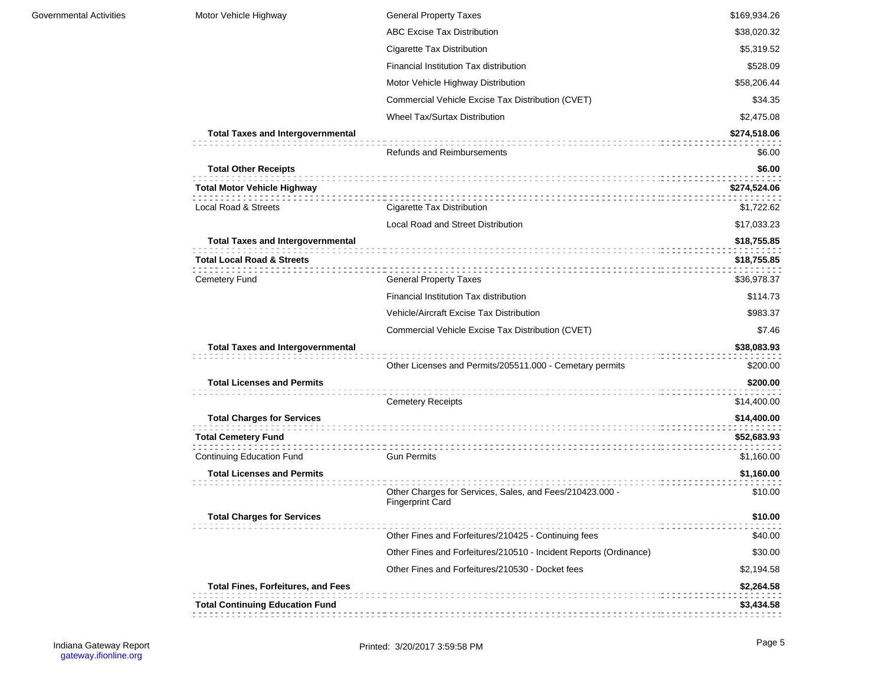| Motor Vehicle Highway                                                             | <b>General Property Taxes</b>                                                       | \$169,934.26               |
|-----------------------------------------------------------------------------------|-------------------------------------------------------------------------------------|----------------------------|
|                                                                                   | <b>ABC Excise Tax Distribution</b>                                                  | \$38,020.32                |
|                                                                                   | Cigarette Tax Distribution                                                          | \$5,319.52                 |
|                                                                                   | Financial Institution Tax distribution                                              | \$528.09                   |
|                                                                                   | Motor Vehicle Highway Distribution                                                  | \$58,206.44                |
|                                                                                   | Commercial Vehicle Excise Tax Distribution (CVET)                                   | \$34.35                    |
|                                                                                   | <b>Wheel Tax/Surtax Distribution</b>                                                | \$2,475.08                 |
| <b>Total Taxes and Intergovernmental</b>                                          |                                                                                     | \$274,518.06               |
|                                                                                   | <b>Refunds and Reimbursements</b>                                                   | \$6.00                     |
| <b>Total Other Receipts</b>                                                       |                                                                                     | \$6.00                     |
| <b>Total Motor Vehicle Highway</b>                                                |                                                                                     | \$274,524.06               |
| Local Road & Streets                                                              | Cigarette Tax Distribution                                                          | \$1,722.62                 |
|                                                                                   | Local Road and Street Distribution                                                  | \$17,033.23                |
| <b>Total Taxes and Intergovernmental</b><br><b>Total Local Road &amp; Streets</b> |                                                                                     | \$18,755.85<br>\$18,755.85 |
| Cemetery Fund                                                                     | <b>General Property Taxes</b>                                                       | \$36,978.37                |
|                                                                                   | Financial Institution Tax distribution                                              | \$114.73                   |
|                                                                                   | <b>Vehicle/Aircraft Excise Tax Distribution</b>                                     | \$983.37                   |
|                                                                                   | Commercial Vehicle Excise Tax Distribution (CVET)                                   | \$7.46                     |
| <b>Total Taxes and Intergovernmental</b>                                          | Other Licenses and Permits/205511.000 - Cemetary permits                            | \$38,083.93<br>\$200.00    |
| <b>Total Licenses and Permits</b>                                                 | <b>Cemetery Receipts</b>                                                            | \$200.00<br>\$14,400.00    |
| <b>Total Charges for Services</b>                                                 |                                                                                     | \$14,400.00                |
| <b>Total Cemetery Fund</b>                                                        |                                                                                     | \$52,683.93                |
| <b>Continuing Education Fund</b>                                                  | <b>Gun Permits</b>                                                                  | \$1,160.00                 |
| <b>Total Licenses and Permits</b>                                                 |                                                                                     | \$1,160.00                 |
|                                                                                   | Other Charges for Services, Sales, and Fees/210423.000 -<br><b>Fingerprint Card</b> | \$10.00                    |
| <b>Total Charges for Services</b>                                                 |                                                                                     | \$10.00                    |
|                                                                                   | Other Fines and Forfeitures/210425 - Continuing fees                                | \$40.00                    |
|                                                                                   | Other Fines and Forfeitures/210510 - Incident Reports (Ordinance)                   | \$30.00                    |
|                                                                                   | Other Fines and Forfeitures/210530 - Docket fees                                    | \$2,194.58                 |
| <b>Total Fines, Forfeitures, and Fees</b>                                         |                                                                                     | \$2,264.58                 |
| <b>Total Continuing Education Fund</b>                                            |                                                                                     | \$3,434.58                 |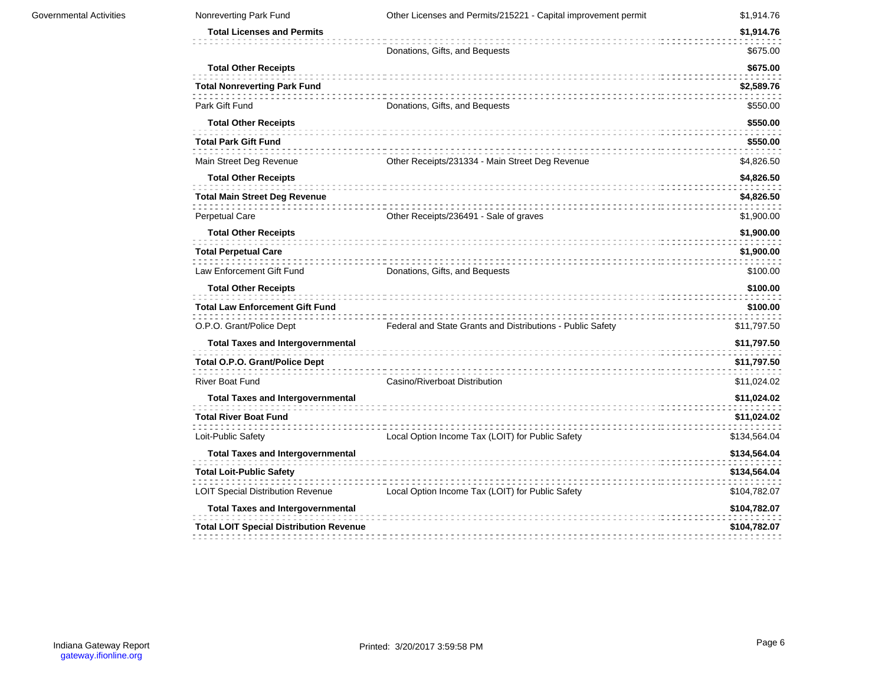| Governmental Activities | Nonreverting Park Fund                         | Other Licenses and Permits/215221 - Capital improvement permit | \$1,914.76   |
|-------------------------|------------------------------------------------|----------------------------------------------------------------|--------------|
|                         | <b>Total Licenses and Permits</b>              |                                                                | \$1,914.76   |
|                         |                                                | Donations, Gifts, and Bequests                                 | \$675.00     |
|                         | <b>Total Other Receipts</b>                    |                                                                | \$675.00     |
|                         | <b>Total Nonreverting Park Fund</b>            |                                                                | \$2,589.76   |
|                         | Park Gift Fund                                 | Donations, Gifts, and Bequests                                 | \$550.00     |
|                         | <b>Total Other Receipts</b>                    |                                                                | \$550.00     |
|                         | <b>Total Park Gift Fund</b>                    |                                                                | \$550.00     |
|                         | Main Street Deg Revenue                        | Other Receipts/231334 - Main Street Deg Revenue                | \$4,826.50   |
|                         | <b>Total Other Receipts</b>                    |                                                                | \$4,826.50   |
|                         | <b>Total Main Street Deg Revenue</b>           |                                                                | \$4,826.50   |
|                         | Perpetual Care                                 | Other Receipts/236491 - Sale of graves                         | \$1,900.00   |
|                         | <b>Total Other Receipts</b>                    |                                                                | \$1,900.00   |
|                         | <b>Total Perpetual Care</b>                    |                                                                | \$1,900.00   |
|                         | Law Enforcement Gift Fund                      | Donations, Gifts, and Bequests                                 | \$100.00     |
|                         | <b>Total Other Receipts</b>                    |                                                                | \$100.00     |
|                         | <b>Total Law Enforcement Gift Fund</b>         |                                                                | \$100.00     |
|                         | O.P.O. Grant/Police Dept                       | Federal and State Grants and Distributions - Public Safety     | \$11,797.50  |
|                         | <b>Total Taxes and Intergovernmental</b>       |                                                                | \$11,797.50  |
|                         | <b>Total O.P.O. Grant/Police Dept</b>          |                                                                | \$11,797.50  |
|                         | <b>River Boat Fund</b>                         | Casino/Riverboat Distribution                                  | \$11,024.02  |
|                         | <b>Total Taxes and Intergovernmental</b>       |                                                                | \$11,024.02  |
|                         | <b>Total River Boat Fund</b>                   |                                                                | \$11,024.02  |
|                         | Loit-Public Safety                             | Local Option Income Tax (LOIT) for Public Safety               | \$134,564.04 |
|                         | <b>Total Taxes and Intergovernmental</b>       |                                                                | \$134,564.04 |
|                         | <b>Total Loit-Public Safety</b>                |                                                                | \$134,564.04 |
|                         | <b>LOIT Special Distribution Revenue</b>       | Local Option Income Tax (LOIT) for Public Safety               | \$104,782.07 |
|                         | <b>Total Taxes and Intergovernmental</b>       |                                                                | \$104,782.07 |
|                         | <b>Total LOIT Special Distribution Revenue</b> |                                                                | \$104,782.07 |
|                         |                                                |                                                                |              |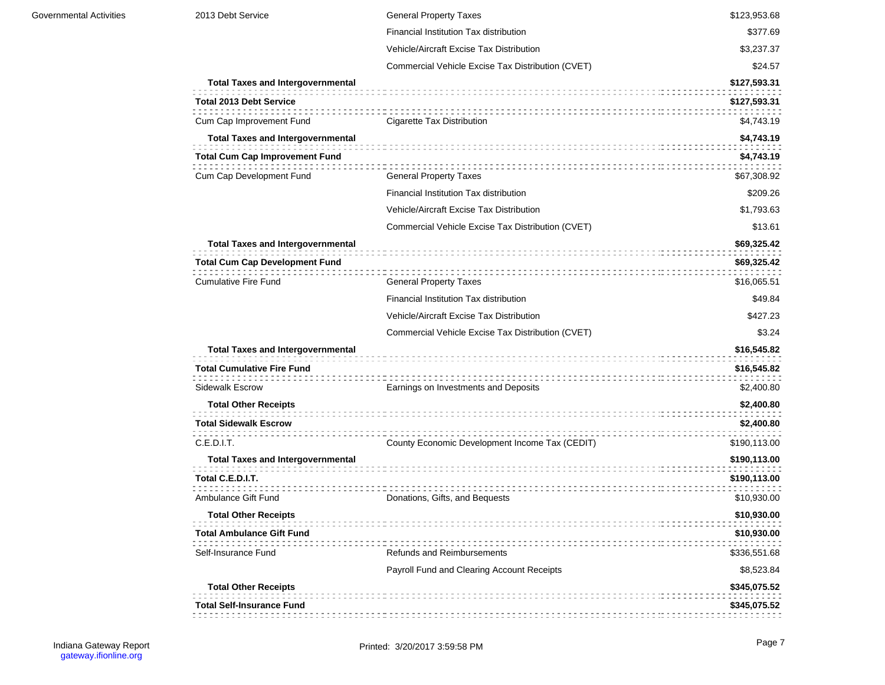| 2013 Debt Service                        | <b>General Property Taxes</b>                     | \$123,953.68 |
|------------------------------------------|---------------------------------------------------|--------------|
|                                          | Financial Institution Tax distribution            | \$377.69     |
|                                          | Vehicle/Aircraft Excise Tax Distribution          | \$3,237.37   |
|                                          | Commercial Vehicle Excise Tax Distribution (CVET) | \$24.57      |
| <b>Total Taxes and Intergovernmental</b> |                                                   | \$127,593.31 |
| <b>Total 2013 Debt Service</b>           |                                                   | \$127,593.31 |
| Cum Cap Improvement Fund                 | Cigarette Tax Distribution                        | \$4,743.19   |
| <b>Total Taxes and Intergovernmental</b> |                                                   | \$4,743.19   |
| <b>Total Cum Cap Improvement Fund</b>    |                                                   | \$4,743.19   |
| Cum Cap Development Fund                 | <b>General Property Taxes</b>                     | \$67,308.92  |
|                                          | Financial Institution Tax distribution            | \$209.26     |
|                                          | Vehicle/Aircraft Excise Tax Distribution          | \$1,793.63   |
|                                          | Commercial Vehicle Excise Tax Distribution (CVET) | \$13.61      |
| <b>Total Taxes and Intergovernmental</b> |                                                   | \$69,325.42  |
| <b>Total Cum Cap Development Fund</b>    |                                                   | \$69,325.42  |
| <b>Cumulative Fire Fund</b>              | <b>General Property Taxes</b>                     | \$16,065.51  |
|                                          | Financial Institution Tax distribution            | \$49.84      |
|                                          | Vehicle/Aircraft Excise Tax Distribution          | \$427.23     |
|                                          | Commercial Vehicle Excise Tax Distribution (CVET) | \$3.24       |
| <b>Total Taxes and Intergovernmental</b> |                                                   | \$16,545.82  |
| <b>Total Cumulative Fire Fund</b>        |                                                   | \$16,545.82  |
| Sidewalk Escrow                          | Earnings on Investments and Deposits              | \$2,400.80   |
| <b>Total Other Receipts</b>              |                                                   | \$2,400.80   |
| <b>Total Sidewalk Escrow</b>             |                                                   | \$2,400.80   |
| C.E.D.I.T.                               | County Economic Development Income Tax (CEDIT)    | \$190,113.00 |
| <b>Total Taxes and Intergovernmental</b> |                                                   | \$190,113.00 |
| Total C.E.D.I.T.                         |                                                   | \$190,113.00 |
|                                          |                                                   |              |
| Ambulance Gift Fund                      | Donations, Gifts, and Bequests                    | \$10,930.00  |
| <b>Total Other Receipts</b>              |                                                   | \$10,930.00  |
| <b>Total Ambulance Gift Fund</b>         |                                                   | \$10,930.00  |
| Self-Insurance Fund                      | <b>Refunds and Reimbursements</b>                 | \$336,551.68 |
|                                          | Payroll Fund and Clearing Account Receipts        | \$8,523.84   |
| <b>Total Other Receipts</b>              |                                                   | \$345,075.52 |
| <b>Total Self-Insurance Fund</b>         |                                                   | \$345,075.52 |
|                                          |                                                   |              |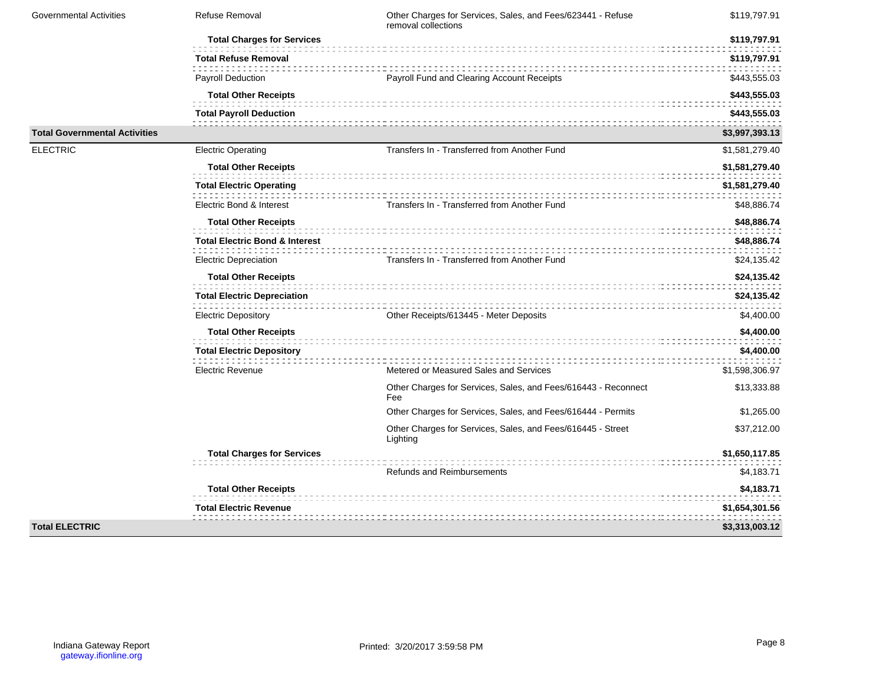| <b>Governmental Activities</b>       | Refuse Removal                            | Other Charges for Services, Sales, and Fees/623441 - Refuse<br>removal collections | \$119,797.91   |
|--------------------------------------|-------------------------------------------|------------------------------------------------------------------------------------|----------------|
|                                      | <b>Total Charges for Services</b>         |                                                                                    | \$119,797.91   |
|                                      | <b>Total Refuse Removal</b>               |                                                                                    | \$119,797.91   |
|                                      | <b>Payroll Deduction</b>                  | Payroll Fund and Clearing Account Receipts                                         | \$443,555.03   |
|                                      | <b>Total Other Receipts</b>               |                                                                                    | \$443,555.03   |
|                                      | <b>Total Payroll Deduction</b>            |                                                                                    | \$443,555.03   |
| <b>Total Governmental Activities</b> |                                           |                                                                                    | \$3,997,393.13 |
| <b>ELECTRIC</b>                      | <b>Electric Operating</b>                 | Transfers In - Transferred from Another Fund                                       | \$1,581,279.40 |
|                                      | <b>Total Other Receipts</b>               |                                                                                    | \$1,581,279.40 |
|                                      | <b>Total Electric Operating</b>           |                                                                                    | \$1,581,279.40 |
|                                      | Electric Bond & Interest                  | Transfers In - Transferred from Another Fund                                       | \$48,886.74    |
|                                      | <b>Total Other Receipts</b>               |                                                                                    | \$48,886.74    |
|                                      | <b>Total Electric Bond &amp; Interest</b> |                                                                                    | \$48,886.74    |
|                                      | <b>Electric Depreciation</b>              | Transfers In - Transferred from Another Fund                                       | \$24,135.42    |
|                                      | <b>Total Other Receipts</b>               |                                                                                    | \$24,135.42    |
|                                      | <b>Total Electric Depreciation</b>        |                                                                                    | \$24,135.42    |
|                                      | <b>Electric Depository</b>                | Other Receipts/613445 - Meter Deposits                                             | \$4,400.00     |
|                                      | <b>Total Other Receipts</b>               |                                                                                    | \$4,400.00     |
|                                      | <b>Total Electric Depository</b>          |                                                                                    | \$4,400.00     |
|                                      | <b>Electric Revenue</b>                   | Metered or Measured Sales and Services                                             | \$1,598,306.97 |
|                                      |                                           | Other Charges for Services, Sales, and Fees/616443 - Reconnect<br>Fee              | \$13,333.88    |
|                                      |                                           | Other Charges for Services, Sales, and Fees/616444 - Permits                       | \$1,265.00     |
|                                      |                                           | Other Charges for Services, Sales, and Fees/616445 - Street<br>Lighting            | \$37,212.00    |
|                                      | <b>Total Charges for Services</b>         |                                                                                    | \$1,650,117.85 |
|                                      |                                           | Refunds and Reimbursements                                                         | \$4,183.71     |
|                                      | <b>Total Other Receipts</b>               |                                                                                    | \$4,183.71     |
|                                      | <b>Total Electric Revenue</b>             |                                                                                    | \$1,654,301.56 |
| <b>Total ELECTRIC</b>                |                                           |                                                                                    | \$3,313,003.12 |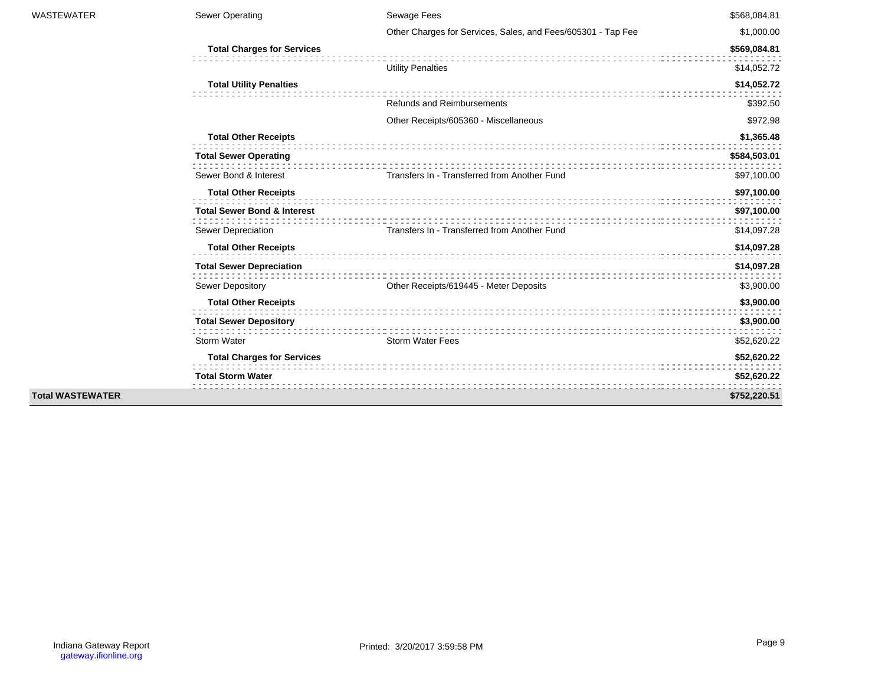| <b>WASTEWATER</b>       | Sewer Operating                        | Sewage Fees                                                  | \$568,084.81 |
|-------------------------|----------------------------------------|--------------------------------------------------------------|--------------|
|                         |                                        | Other Charges for Services, Sales, and Fees/605301 - Tap Fee | \$1,000.00   |
|                         | <b>Total Charges for Services</b>      |                                                              | \$569,084.81 |
|                         |                                        | <b>Utility Penalties</b>                                     | \$14,052.72  |
|                         | <b>Total Utility Penalties</b>         |                                                              | \$14,052.72  |
|                         |                                        | <b>Refunds and Reimbursements</b>                            | \$392.50     |
|                         |                                        | Other Receipts/605360 - Miscellaneous                        | \$972.98     |
|                         | <b>Total Other Receipts</b>            |                                                              | \$1,365.48   |
|                         | <b>Total Sewer Operating</b>           |                                                              | \$584,503.01 |
|                         | Sewer Bond & Interest                  | Transfers In - Transferred from Another Fund                 | \$97,100.00  |
|                         | <b>Total Other Receipts</b>            |                                                              | \$97,100.00  |
|                         | <b>Total Sewer Bond &amp; Interest</b> |                                                              | \$97,100.00  |
|                         | Sewer Depreciation                     | Transfers In - Transferred from Another Fund                 | \$14,097.28  |
|                         | <b>Total Other Receipts</b>            |                                                              | \$14,097.28  |
|                         | <b>Total Sewer Depreciation</b>        |                                                              | \$14,097.28  |
|                         | Sewer Depository                       | Other Receipts/619445 - Meter Deposits                       | \$3,900.00   |
|                         | <b>Total Other Receipts</b>            |                                                              | \$3,900.00   |
|                         | <b>Total Sewer Depository</b>          |                                                              | \$3,900.00   |
|                         | Storm Water                            | <b>Storm Water Fees</b>                                      | \$52,620.22  |
|                         | <b>Total Charges for Services</b>      |                                                              | \$52,620.22  |
|                         | <b>Total Storm Water</b>               |                                                              | \$52,620.22  |
| <b>Total WASTEWATER</b> |                                        |                                                              | \$752,220.51 |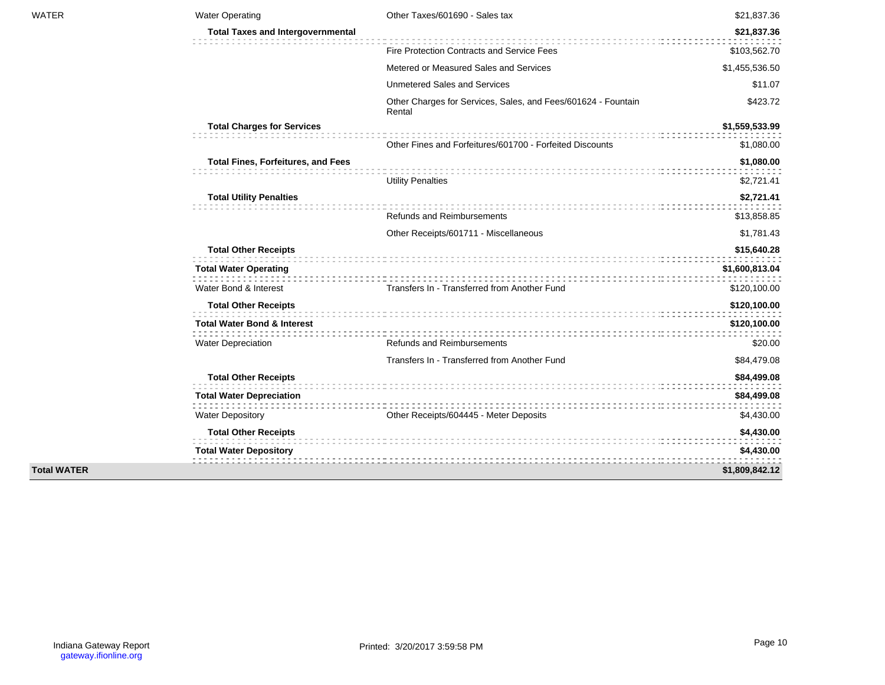| <b>WATER</b>       | <b>Water Operating</b>                    | Other Taxes/601690 - Sales tax                                          | \$21,837.36    |
|--------------------|-------------------------------------------|-------------------------------------------------------------------------|----------------|
|                    | <b>Total Taxes and Intergovernmental</b>  |                                                                         | \$21,837.36    |
|                    |                                           | Fire Protection Contracts and Service Fees                              |                |
|                    |                                           | Metered or Measured Sales and Services                                  | \$103,562.70   |
|                    |                                           |                                                                         | \$1,455,536.50 |
|                    |                                           | <b>Unmetered Sales and Services</b>                                     | \$11.07        |
|                    |                                           | Other Charges for Services, Sales, and Fees/601624 - Fountain<br>Rental | \$423.72       |
|                    | <b>Total Charges for Services</b>         |                                                                         | \$1,559,533.99 |
|                    |                                           | Other Fines and Forfeitures/601700 - Forfeited Discounts                | \$1,080.00     |
|                    | <b>Total Fines, Forfeitures, and Fees</b> |                                                                         | \$1,080.00     |
|                    |                                           | <b>Utility Penalties</b>                                                | \$2,721.41     |
|                    | <b>Total Utility Penalties</b>            |                                                                         | \$2,721.41     |
|                    |                                           | Refunds and Reimbursements                                              | \$13,858.85    |
|                    |                                           | Other Receipts/601711 - Miscellaneous                                   | \$1,781.43     |
|                    | <b>Total Other Receipts</b>               |                                                                         | \$15,640.28    |
|                    | <b>Total Water Operating</b>              |                                                                         | \$1,600,813.04 |
|                    | Water Bond & Interest                     | Transfers In - Transferred from Another Fund                            | \$120,100.00   |
|                    | <b>Total Other Receipts</b>               |                                                                         | \$120,100.00   |
|                    | <b>Total Water Bond &amp; Interest</b>    |                                                                         | \$120,100.00   |
|                    | <b>Water Depreciation</b>                 | <b>Refunds and Reimbursements</b>                                       | \$20.00        |
|                    |                                           | Transfers In - Transferred from Another Fund                            | \$84,479.08    |
|                    | <b>Total Other Receipts</b>               |                                                                         | \$84,499.08    |
|                    | <b>Total Water Depreciation</b>           |                                                                         | \$84,499.08    |
|                    | <b>Water Depository</b>                   | Other Receipts/604445 - Meter Deposits                                  | \$4,430.00     |
|                    | <b>Total Other Receipts</b>               |                                                                         | \$4,430.00     |
|                    | <b>Total Water Depository</b>             |                                                                         | \$4,430.00     |
| <b>Total WATER</b> |                                           |                                                                         | \$1,809,842.12 |
|                    |                                           |                                                                         |                |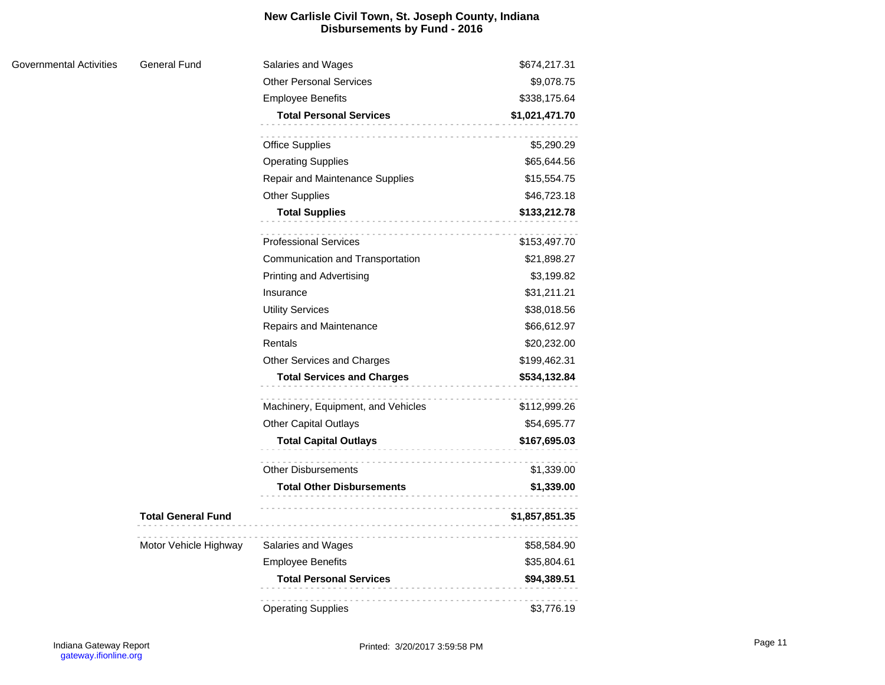## **New Carlisle Civil Town, St. Joseph County, Indiana Disbursements by Fund - 2016**

| Governmental Activities | <b>General Fund</b>       | Salaries and Wages                 | \$674,217.31   |
|-------------------------|---------------------------|------------------------------------|----------------|
|                         |                           | <b>Other Personal Services</b>     | \$9,078.75     |
|                         |                           | <b>Employee Benefits</b>           | \$338,175.64   |
|                         |                           | <b>Total Personal Services</b>     | \$1,021,471.70 |
|                         |                           | <b>Office Supplies</b>             | \$5,290.29     |
|                         |                           | <b>Operating Supplies</b>          | \$65,644.56    |
|                         |                           | Repair and Maintenance Supplies    | \$15,554.75    |
|                         |                           | <b>Other Supplies</b>              | \$46,723.18    |
|                         |                           | <b>Total Supplies</b>              | \$133,212.78   |
|                         |                           | <b>Professional Services</b>       | \$153,497.70   |
|                         |                           | Communication and Transportation   | \$21,898.27    |
|                         |                           | <b>Printing and Advertising</b>    | \$3,199.82     |
|                         |                           | Insurance                          | \$31,211.21    |
|                         |                           | <b>Utility Services</b>            | \$38,018.56    |
|                         |                           | Repairs and Maintenance            | \$66,612.97    |
|                         |                           | Rentals                            | \$20,232.00    |
|                         |                           | Other Services and Charges         | \$199,462.31   |
|                         |                           | <b>Total Services and Charges</b>  | \$534,132.84   |
|                         |                           | Machinery, Equipment, and Vehicles | \$112,999.26   |
|                         |                           | Other Capital Outlays              | \$54,695.77    |
|                         |                           | <b>Total Capital Outlays</b>       | \$167,695.03   |
|                         |                           | <b>Other Disbursements</b>         | \$1,339.00     |
|                         |                           | <b>Total Other Disbursements</b>   | \$1,339.00     |
|                         |                           |                                    |                |
|                         | <b>Total General Fund</b> |                                    | \$1,857,851.35 |
|                         | Motor Vehicle Highway     | Salaries and Wages                 | \$58,584.90    |
|                         |                           | <b>Employee Benefits</b>           | \$35,804.61    |
|                         |                           | <b>Total Personal Services</b>     | \$94,389.51    |
|                         |                           | <b>Operating Supplies</b>          | \$3,776.19     |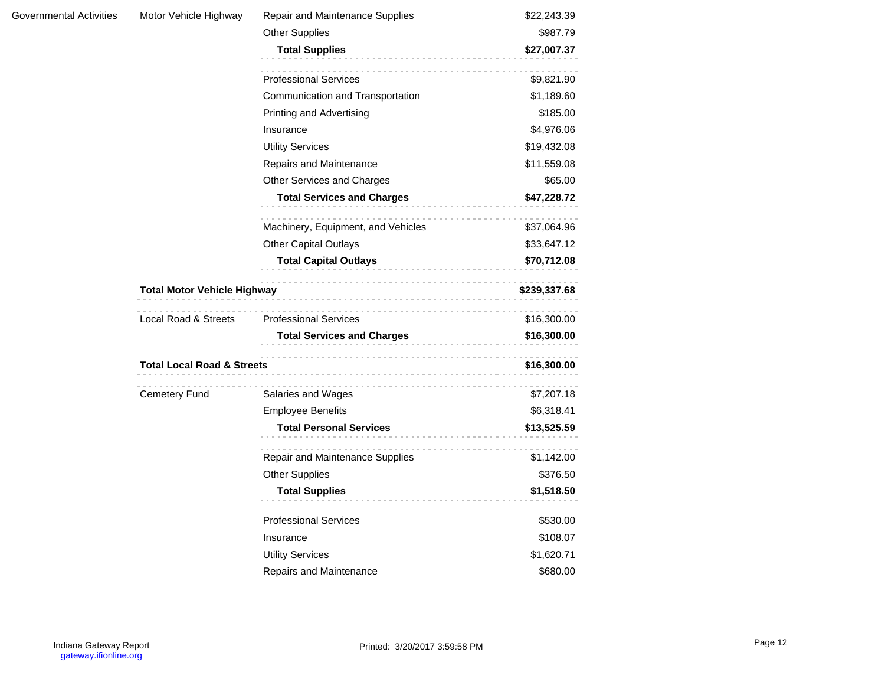| Governmental Activities | Motor Vehicle Highway                 | Repair and Maintenance Supplies      | \$22,243.39  |
|-------------------------|---------------------------------------|--------------------------------------|--------------|
|                         |                                       | <b>Other Supplies</b>                | \$987.79     |
|                         |                                       | <b>Total Supplies</b>                | \$27,007.37  |
|                         |                                       | <b>Professional Services</b>         | \$9,821.90   |
|                         |                                       | Communication and Transportation     | \$1,189.60   |
|                         |                                       | Printing and Advertising             | \$185.00     |
|                         |                                       | Insurance                            | \$4,976.06   |
|                         |                                       | <b>Utility Services</b>              | \$19,432.08  |
|                         |                                       | Repairs and Maintenance              | \$11,559.08  |
|                         |                                       | Other Services and Charges           | \$65.00      |
|                         |                                       | <b>Total Services and Charges</b>    | \$47,228.72  |
|                         |                                       | Machinery, Equipment, and Vehicles   | \$37,064.96  |
|                         |                                       | <b>Other Capital Outlays</b>         | \$33,647.12  |
|                         |                                       | <b>Total Capital Outlays</b>         | \$70,712.08  |
|                         |                                       |                                      |              |
|                         | Total Motor Vehicle Highway           |                                      | \$239,337.68 |
|                         | Local Road & Streets                  | <b>Professional Services</b>         | \$16,300.00  |
|                         |                                       | <b>Total Services and Charges</b>    | \$16,300.00  |
|                         | <b>Total Local Road &amp; Streets</b> |                                      | \$16,300.00  |
|                         | Cemetery Fund                         | Salaries and Wages                   | \$7,207.18   |
|                         |                                       | <b>Employee Benefits</b>             | \$6,318.41   |
|                         |                                       | <b>Total Personal Services</b>       | \$13,525.59  |
|                         |                                       | .<br>Repair and Maintenance Supplies | \$1,142.00   |
|                         |                                       | <b>Other Supplies</b>                | \$376.50     |
|                         |                                       | <b>Total Supplies</b>                | \$1,518.50   |
|                         |                                       |                                      |              |
|                         |                                       | <b>Professional Services</b>         | \$530.00     |
|                         |                                       | Insurance                            | \$108.07     |
|                         |                                       | <b>Utility Services</b>              | \$1,620.71   |
|                         |                                       | Repairs and Maintenance              | \$680.00     |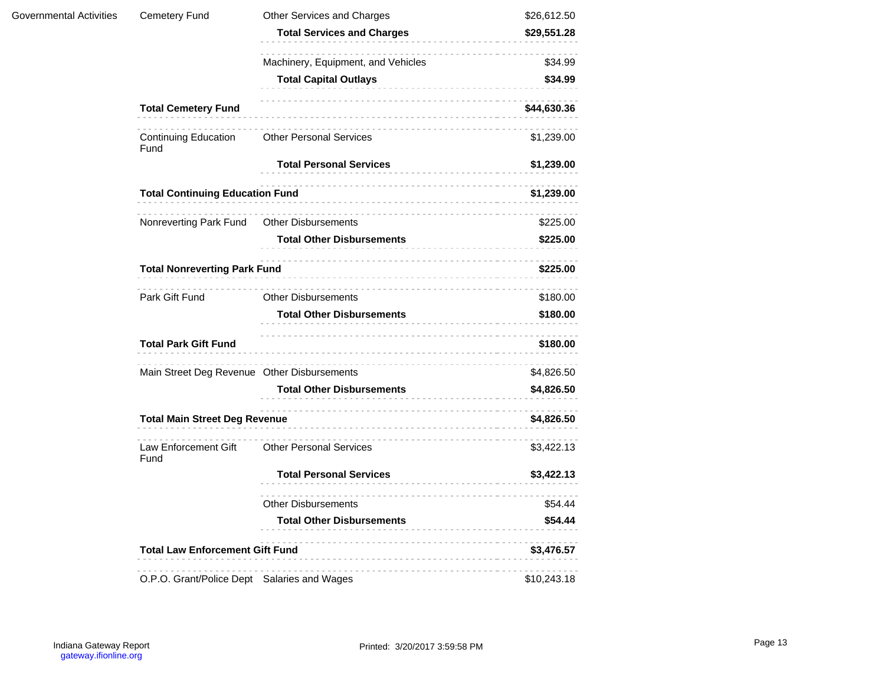| Governmental Activities | Cemetery Fund                               | Other Services and Charges         | \$26,612.50 |
|-------------------------|---------------------------------------------|------------------------------------|-------------|
|                         |                                             | <b>Total Services and Charges</b>  | \$29,551.28 |
|                         |                                             | Machinery, Equipment, and Vehicles | \$34.99     |
|                         |                                             | <b>Total Capital Outlays</b>       | \$34.99     |
|                         | <b>Total Cemetery Fund</b>                  |                                    | \$44,630.36 |
|                         | <b>Continuing Education</b><br>Fund         | <b>Other Personal Services</b>     | \$1,239.00  |
|                         |                                             | <b>Total Personal Services</b>     | \$1,239.00  |
|                         | <b>Total Continuing Education Fund</b>      |                                    | \$1,239.00  |
|                         | Nonreverting Park Fund                      | <b>Other Disbursements</b>         | \$225.00    |
|                         |                                             | <b>Total Other Disbursements</b>   | \$225.00    |
|                         | <b>Total Nonreverting Park Fund</b>         |                                    | \$225.00    |
|                         | Park Gift Fund                              | <b>Other Disbursements</b>         | \$180.00    |
|                         |                                             | <b>Total Other Disbursements</b>   | \$180.00    |
|                         | <b>Total Park Gift Fund</b>                 |                                    | \$180.00    |
|                         | Main Street Deg Revenue Other Disbursements |                                    | \$4,826.50  |
|                         |                                             | <b>Total Other Disbursements</b>   | \$4,826.50  |
|                         | <b>Total Main Street Deg Revenue</b>        |                                    | \$4,826.50  |
|                         | Law Enforcement Gift<br>Fund                | <b>Other Personal Services</b>     | \$3,422.13  |
|                         |                                             | <b>Total Personal Services</b>     | \$3,422.13  |
|                         |                                             | <b>Other Disbursements</b>         | \$54.44     |
|                         |                                             | <b>Total Other Disbursements</b>   | \$54.44     |
|                         | <b>Total Law Enforcement Gift Fund</b>      |                                    | \$3,476.57  |
|                         | O.P.O. Grant/Police Dept Salaries and Wages |                                    | \$10,243.18 |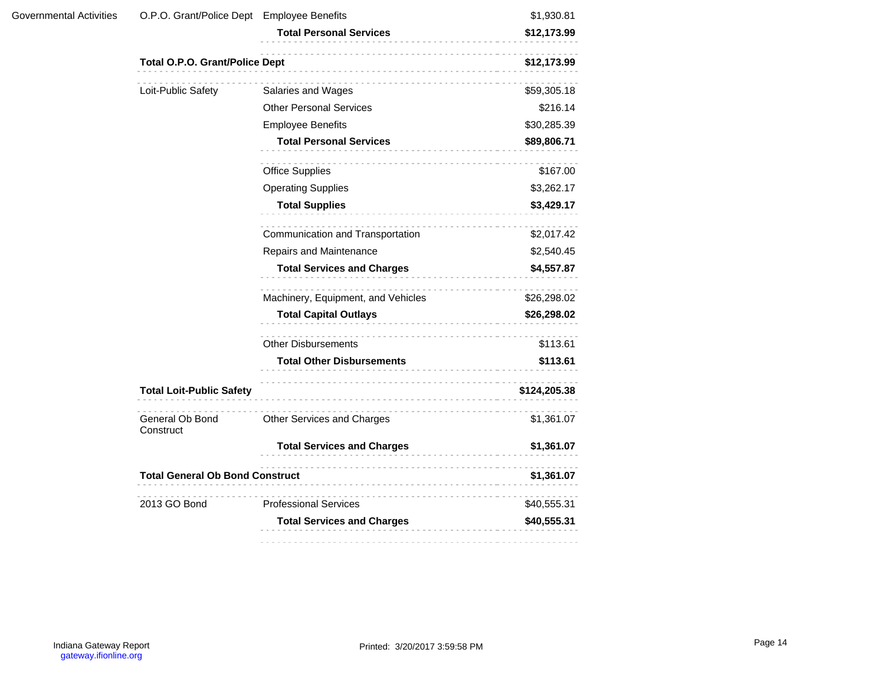| Governmental Activities                                                                                                                                                                                                                                                                                                                                                                                                                                                                                                                                                                                                                                                                                                                                                                                                               |                                | \$1,930.81   |
|---------------------------------------------------------------------------------------------------------------------------------------------------------------------------------------------------------------------------------------------------------------------------------------------------------------------------------------------------------------------------------------------------------------------------------------------------------------------------------------------------------------------------------------------------------------------------------------------------------------------------------------------------------------------------------------------------------------------------------------------------------------------------------------------------------------------------------------|--------------------------------|--------------|
|                                                                                                                                                                                                                                                                                                                                                                                                                                                                                                                                                                                                                                                                                                                                                                                                                                       | <b>Total Personal Services</b> | \$12,173.99  |
| O.P.O. Grant/Police Dept Employee Benefits<br><b>Total O.P.O. Grant/Police Dept</b><br>Loit-Public Safety<br>Salaries and Wages<br><b>Other Personal Services</b><br><b>Employee Benefits</b><br><b>Total Personal Services</b><br><b>Office Supplies</b><br><b>Operating Supplies</b><br><b>Total Supplies</b><br>.<br>Communication and Transportation<br>Repairs and Maintenance<br><b>Total Services and Charges</b><br>Machinery, Equipment, and Vehicles<br><b>Total Capital Outlays</b><br><b>Other Disbursements</b><br><b>Total Other Disbursements</b><br><b>Total Loit-Public Safety</b><br>General Ob Bond<br>Other Services and Charges<br>Construct<br><b>Total Services and Charges</b><br><b>Total General Ob Bond Construct</b><br>2013 GO Bond<br><b>Professional Services</b><br><b>Total Services and Charges</b> | \$12,173.99                    |              |
|                                                                                                                                                                                                                                                                                                                                                                                                                                                                                                                                                                                                                                                                                                                                                                                                                                       |                                | \$59,305.18  |
|                                                                                                                                                                                                                                                                                                                                                                                                                                                                                                                                                                                                                                                                                                                                                                                                                                       |                                | \$216.14     |
|                                                                                                                                                                                                                                                                                                                                                                                                                                                                                                                                                                                                                                                                                                                                                                                                                                       |                                | \$30,285.39  |
|                                                                                                                                                                                                                                                                                                                                                                                                                                                                                                                                                                                                                                                                                                                                                                                                                                       |                                | \$89,806.71  |
|                                                                                                                                                                                                                                                                                                                                                                                                                                                                                                                                                                                                                                                                                                                                                                                                                                       |                                | \$167.00     |
|                                                                                                                                                                                                                                                                                                                                                                                                                                                                                                                                                                                                                                                                                                                                                                                                                                       |                                | \$3,262.17   |
|                                                                                                                                                                                                                                                                                                                                                                                                                                                                                                                                                                                                                                                                                                                                                                                                                                       |                                | \$3,429.17   |
|                                                                                                                                                                                                                                                                                                                                                                                                                                                                                                                                                                                                                                                                                                                                                                                                                                       |                                | \$2,017.42   |
|                                                                                                                                                                                                                                                                                                                                                                                                                                                                                                                                                                                                                                                                                                                                                                                                                                       |                                | \$2,540.45   |
|                                                                                                                                                                                                                                                                                                                                                                                                                                                                                                                                                                                                                                                                                                                                                                                                                                       |                                | \$4,557.87   |
|                                                                                                                                                                                                                                                                                                                                                                                                                                                                                                                                                                                                                                                                                                                                                                                                                                       |                                | \$26,298.02  |
|                                                                                                                                                                                                                                                                                                                                                                                                                                                                                                                                                                                                                                                                                                                                                                                                                                       |                                | \$26,298.02  |
|                                                                                                                                                                                                                                                                                                                                                                                                                                                                                                                                                                                                                                                                                                                                                                                                                                       |                                | \$113.61     |
|                                                                                                                                                                                                                                                                                                                                                                                                                                                                                                                                                                                                                                                                                                                                                                                                                                       |                                | \$113.61     |
|                                                                                                                                                                                                                                                                                                                                                                                                                                                                                                                                                                                                                                                                                                                                                                                                                                       |                                | \$124,205.38 |
|                                                                                                                                                                                                                                                                                                                                                                                                                                                                                                                                                                                                                                                                                                                                                                                                                                       |                                | \$1,361.07   |
|                                                                                                                                                                                                                                                                                                                                                                                                                                                                                                                                                                                                                                                                                                                                                                                                                                       |                                | \$1,361.07   |
|                                                                                                                                                                                                                                                                                                                                                                                                                                                                                                                                                                                                                                                                                                                                                                                                                                       |                                | \$1,361.07   |
|                                                                                                                                                                                                                                                                                                                                                                                                                                                                                                                                                                                                                                                                                                                                                                                                                                       |                                | \$40,555.31  |
|                                                                                                                                                                                                                                                                                                                                                                                                                                                                                                                                                                                                                                                                                                                                                                                                                                       |                                | \$40,555.31  |
|                                                                                                                                                                                                                                                                                                                                                                                                                                                                                                                                                                                                                                                                                                                                                                                                                                       |                                |              |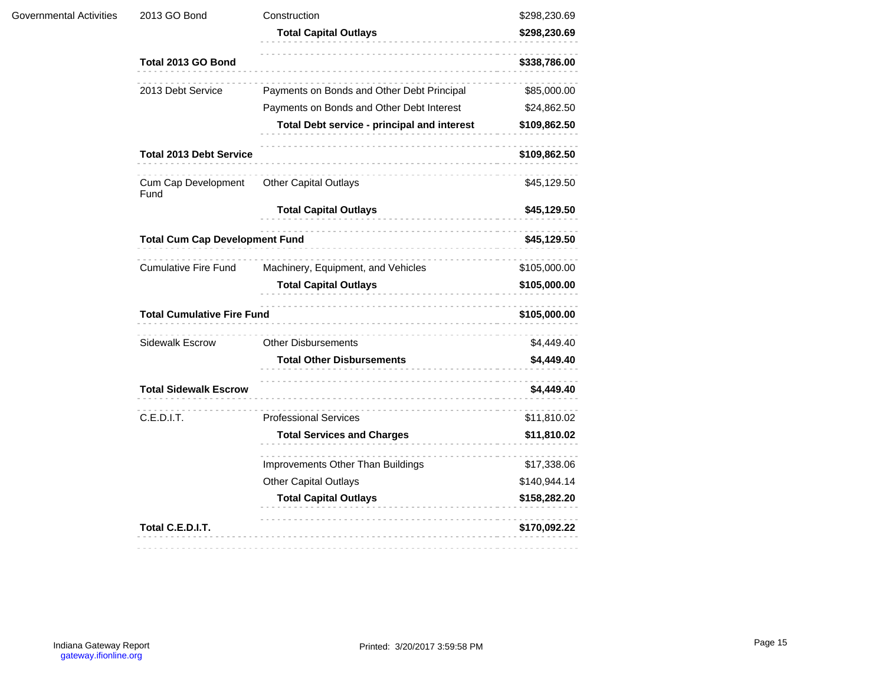| 2013 GO Bond                   | Construction                                | \$298,230.69                                                               |
|--------------------------------|---------------------------------------------|----------------------------------------------------------------------------|
|                                | <b>Total Capital Outlays</b>                | \$298,230.69                                                               |
| Total 2013 GO Bond             |                                             | \$338,786.00                                                               |
| 2013 Debt Service              | Payments on Bonds and Other Debt Principal  | \$85,000.00                                                                |
|                                | Payments on Bonds and Other Debt Interest   | \$24,862.50                                                                |
|                                | Total Debt service - principal and interest | \$109,862.50                                                               |
| <b>Total 2013 Debt Service</b> |                                             | \$109,862.50                                                               |
| Cum Cap Development<br>Fund    | <b>Other Capital Outlays</b>                | \$45,129.50                                                                |
|                                | <b>Total Capital Outlays</b>                | \$45,129.50                                                                |
|                                |                                             | \$45,129.50                                                                |
| <b>Cumulative Fire Fund</b>    | Machinery, Equipment, and Vehicles          | \$105,000.00<br>\$105,000.00                                               |
|                                | <b>Total Capital Outlays</b>                |                                                                            |
|                                | \$105,000.00                                |                                                                            |
| Sidewalk Escrow                | <b>Other Disbursements</b>                  | \$4,449.40                                                                 |
|                                | <b>Total Other Disbursements</b>            | \$4,449.40                                                                 |
| <b>Total Sidewalk Escrow</b>   |                                             | \$4,449.40                                                                 |
| C.E.D.I.T.                     | .<br><b>Professional Services</b>           | \$11,810.02                                                                |
|                                | <b>Total Services and Charges</b>           | \$11,810.02                                                                |
|                                | Improvements Other Than Buildings           | \$17,338.06                                                                |
|                                | <b>Other Capital Outlays</b>                | \$140,944.14                                                               |
|                                | <b>Total Capital Outlays</b>                | \$158,282.20                                                               |
| Total C.E.D.I.T.               |                                             | \$170,092.22                                                               |
|                                |                                             | <b>Total Cum Cap Development Fund</b><br><b>Total Cumulative Fire Fund</b> |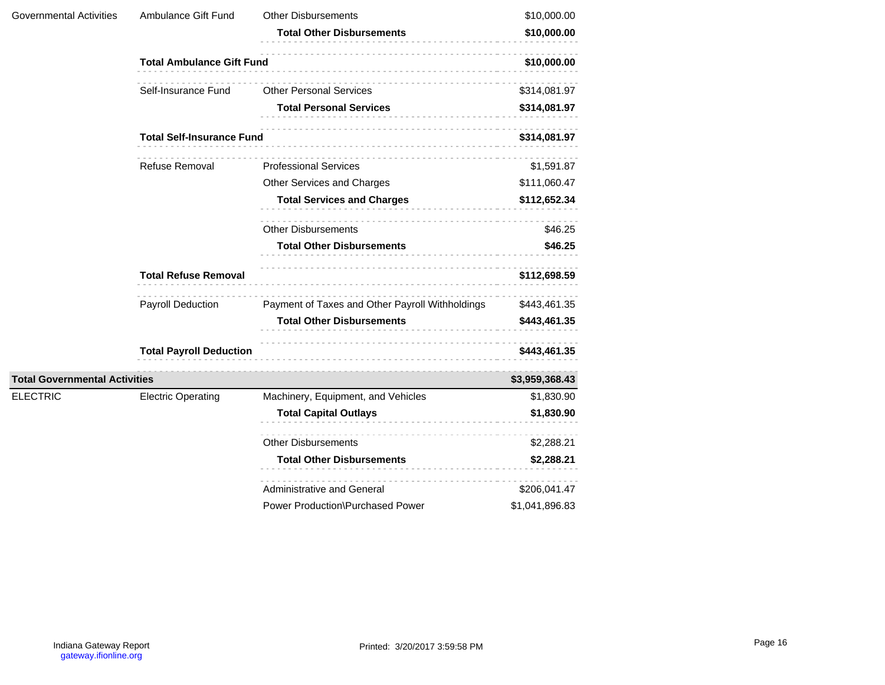| Governmental Activities              | Ambulance Gift Fund              | <b>Other Disbursements</b><br><b>Total Other Disbursements</b> | \$10,000.00<br>\$10,000.00 |
|--------------------------------------|----------------------------------|----------------------------------------------------------------|----------------------------|
|                                      | <b>Total Ambulance Gift Fund</b> | \$10,000.00                                                    |                            |
|                                      | Self-Insurance Fund              | <b>Other Personal Services</b>                                 | \$314,081.97               |
|                                      |                                  | <b>Total Personal Services</b>                                 | \$314,081.97               |
|                                      | <b>Total Self-Insurance Fund</b> |                                                                | \$314,081.97               |
|                                      | Refuse Removal                   | <b>Professional Services</b>                                   | \$1,591.87                 |
|                                      |                                  | Other Services and Charges                                     | \$111,060.47               |
|                                      |                                  | <b>Total Services and Charges</b>                              | \$112,652.34               |
|                                      |                                  | <b>Other Disbursements</b>                                     | \$46.25                    |
|                                      |                                  | <b>Total Other Disbursements</b>                               | \$46.25                    |
|                                      | <b>Total Refuse Removal</b>      |                                                                | \$112,698.59               |
|                                      | <b>Payroll Deduction</b>         | Payment of Taxes and Other Payroll Withholdings                | \$443,461.35               |
|                                      |                                  | <b>Total Other Disbursements</b>                               | \$443,461.35               |
|                                      | <b>Total Payroll Deduction</b>   |                                                                | \$443,461.35               |
| <b>Total Governmental Activities</b> |                                  |                                                                | \$3,959,368.43             |
| <b>ELECTRIC</b>                      | <b>Electric Operating</b>        | Machinery, Equipment, and Vehicles                             | \$1,830.90                 |
|                                      |                                  | <b>Total Capital Outlays</b>                                   | \$1,830.90                 |
|                                      |                                  | <b>Other Disbursements</b>                                     | \$2,288.21                 |
|                                      |                                  | <b>Total Other Disbursements</b>                               | \$2,288.21                 |
|                                      |                                  | Administrative and General                                     | \$206,041.47               |
|                                      |                                  | Power Production\Purchased Power                               | \$1,041,896.83             |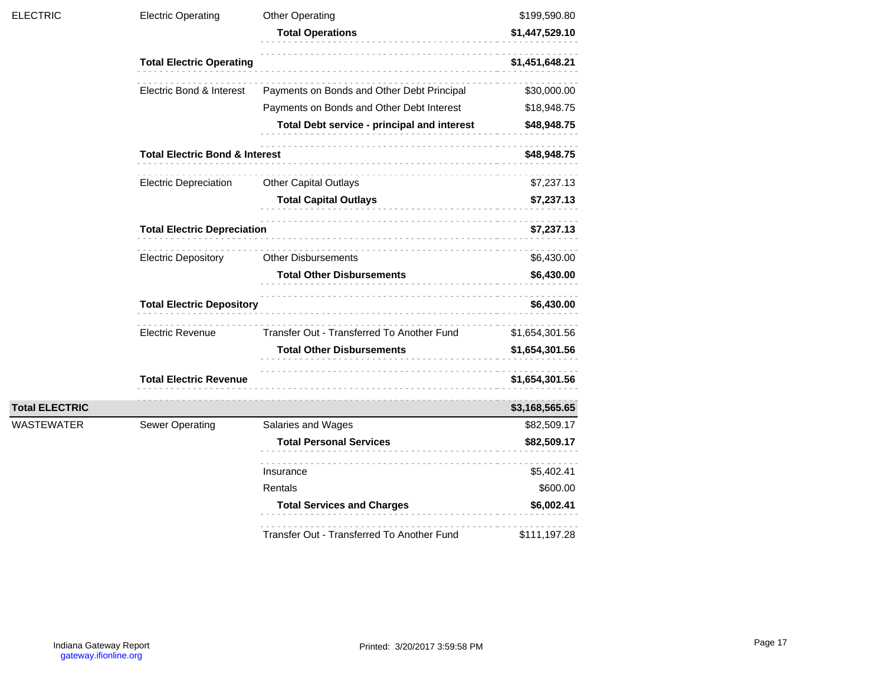| <b>ELECTRIC</b>       | <b>Electric Operating</b>                 | <b>Other Operating</b><br><b>Total Operations</b> | \$199,590.80<br>\$1,447,529.10 |
|-----------------------|-------------------------------------------|---------------------------------------------------|--------------------------------|
|                       | <b>Total Electric Operating</b>           |                                                   | \$1,451,648.21                 |
|                       | Electric Bond & Interest                  | Payments on Bonds and Other Debt Principal        | \$30,000.00                    |
|                       |                                           | Payments on Bonds and Other Debt Interest         | \$18,948.75                    |
|                       |                                           | Total Debt service - principal and interest       | \$48,948.75                    |
|                       | <b>Total Electric Bond &amp; Interest</b> |                                                   | \$48,948.75                    |
|                       | <b>Electric Depreciation</b>              | <b>Other Capital Outlays</b>                      | \$7,237.13                     |
|                       |                                           | <b>Total Capital Outlays</b>                      | \$7,237.13                     |
|                       | <b>Total Electric Depreciation</b>        |                                                   | \$7,237.13                     |
|                       | <b>Electric Depository</b>                | <b>Other Disbursements</b>                        | \$6,430.00                     |
|                       |                                           | <b>Total Other Disbursements</b>                  | \$6,430.00                     |
|                       | <b>Total Electric Depository</b>          |                                                   | \$6,430.00                     |
|                       | Electric Revenue                          | Transfer Out - Transferred To Another Fund        | \$1,654,301.56                 |
|                       |                                           | <b>Total Other Disbursements</b>                  | \$1,654,301.56                 |
|                       | <b>Total Electric Revenue</b>             |                                                   | \$1,654,301.56                 |
| <b>Total ELECTRIC</b> |                                           |                                                   | \$3,168,565.65                 |
| WASTEWATER            | <b>Sewer Operating</b>                    | Salaries and Wages                                | \$82,509.17                    |
|                       |                                           | <b>Total Personal Services</b>                    | \$82,509.17                    |
|                       |                                           | Insurance                                         | \$5,402.41                     |
|                       |                                           | Rentals                                           | \$600.00                       |
|                       |                                           | <b>Total Services and Charges</b>                 | \$6,002.41                     |
|                       |                                           | Transfer Out - Transferred To Another Fund        | \$111,197.28                   |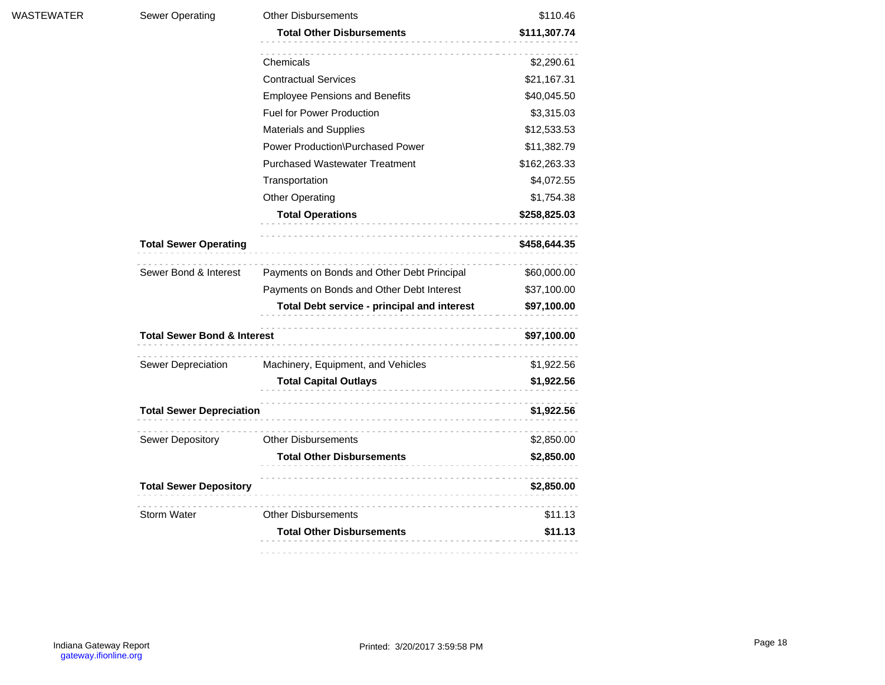| WASTEWATER | <b>Sewer Operating</b>                 | <b>Other Disbursements</b>                  | \$110.46     |
|------------|----------------------------------------|---------------------------------------------|--------------|
|            |                                        | <b>Total Other Disbursements</b>            | \$111,307.74 |
|            |                                        | Chemicals                                   | \$2,290.61   |
|            |                                        | <b>Contractual Services</b>                 | \$21,167.31  |
|            |                                        | <b>Employee Pensions and Benefits</b>       | \$40,045.50  |
|            |                                        | <b>Fuel for Power Production</b>            | \$3,315.03   |
|            |                                        | <b>Materials and Supplies</b>               | \$12,533.53  |
|            |                                        | Power Production\Purchased Power            | \$11,382.79  |
|            |                                        | <b>Purchased Wastewater Treatment</b>       | \$162,263.33 |
|            |                                        | Transportation                              | \$4,072.55   |
|            |                                        | <b>Other Operating</b>                      | \$1,754.38   |
|            |                                        | <b>Total Operations</b>                     | \$258,825.03 |
|            | <b>Total Sewer Operating</b>           |                                             | \$458,644.35 |
|            | Sewer Bond & Interest                  | Payments on Bonds and Other Debt Principal  | \$60,000.00  |
|            |                                        | Payments on Bonds and Other Debt Interest   | \$37,100.00  |
|            |                                        | Total Debt service - principal and interest | \$97,100.00  |
|            | <b>Total Sewer Bond &amp; Interest</b> | \$97,100.00                                 |              |
|            | Sewer Depreciation                     | Machinery, Equipment, and Vehicles          | \$1,922.56   |
|            |                                        | <b>Total Capital Outlays</b>                | \$1,922.56   |
|            | <b>Total Sewer Depreciation</b>        |                                             | \$1,922.56   |
|            | Sewer Depository                       | <b>Other Disbursements</b>                  | \$2,850.00   |
|            |                                        | <b>Total Other Disbursements</b>            | \$2,850.00   |
|            | <b>Total Sewer Depository</b>          |                                             | \$2,850.00   |
|            | <b>Storm Water</b>                     | <b>Other Disbursements</b>                  | \$11.13      |
|            |                                        | <b>Total Other Disbursements</b>            | \$11.13      |
|            |                                        |                                             |              |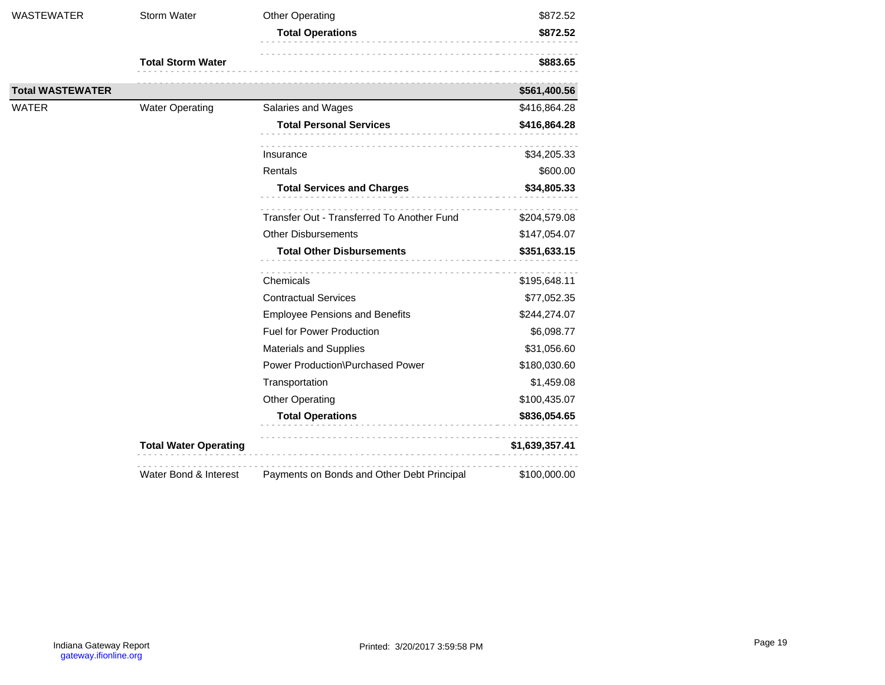| WASTEWATER              | <b>Storm Water</b>           | <b>Other Operating</b>                     | \$872.52       |
|-------------------------|------------------------------|--------------------------------------------|----------------|
|                         |                              | <b>Total Operations</b><br>.               | \$872.52       |
|                         | <b>Total Storm Water</b>     |                                            | \$883.65       |
| <b>Total WASTEWATER</b> |                              |                                            | \$561,400.56   |
| <b>WATER</b>            | <b>Water Operating</b>       | Salaries and Wages                         | \$416,864.28   |
|                         |                              | <b>Total Personal Services</b>             | \$416,864.28   |
|                         |                              | Insurance                                  | \$34,205.33    |
|                         |                              | Rentals                                    | \$600.00       |
|                         |                              | <b>Total Services and Charges</b>          | \$34,805.33    |
|                         |                              | Transfer Out - Transferred To Another Fund | \$204,579.08   |
|                         |                              | <b>Other Disbursements</b>                 | \$147,054.07   |
|                         |                              | <b>Total Other Disbursements</b>           | \$351,633.15   |
|                         |                              | Chemicals                                  | \$195,648.11   |
|                         |                              | <b>Contractual Services</b>                | \$77,052.35    |
|                         |                              | <b>Employee Pensions and Benefits</b>      | \$244,274.07   |
|                         |                              | <b>Fuel for Power Production</b>           | \$6,098.77     |
|                         |                              | <b>Materials and Supplies</b>              | \$31,056.60    |
|                         |                              | Power Production\Purchased Power           | \$180,030.60   |
|                         |                              | Transportation                             | \$1,459.08     |
|                         |                              | <b>Other Operating</b>                     | \$100,435.07   |
|                         |                              | <b>Total Operations</b>                    | \$836,054.65   |
|                         | <b>Total Water Operating</b> |                                            | \$1,639,357.41 |
|                         | Water Bond & Interest        | Payments on Bonds and Other Debt Principal | \$100,000.00   |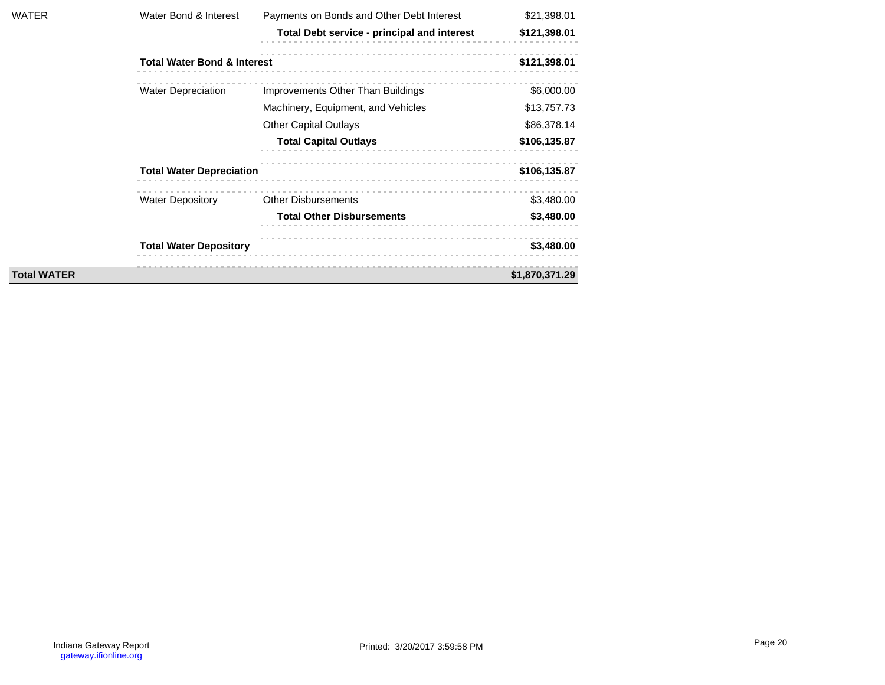| WATER              | Water Bond & Interest                  | Payments on Bonds and Other Debt Interest   | \$21,398.01    |
|--------------------|----------------------------------------|---------------------------------------------|----------------|
|                    |                                        | Total Debt service - principal and interest | \$121,398.01   |
|                    | <b>Total Water Bond &amp; Interest</b> |                                             | \$121,398.01   |
|                    | <b>Water Depreciation</b>              | Improvements Other Than Buildings           | \$6,000.00     |
|                    |                                        | Machinery, Equipment, and Vehicles          | \$13,757.73    |
|                    |                                        | <b>Other Capital Outlays</b>                | \$86,378.14    |
|                    |                                        | <b>Total Capital Outlays</b>                | \$106,135.87   |
|                    | <b>Total Water Depreciation</b>        |                                             | \$106,135.87   |
|                    | <b>Water Depository</b>                | <b>Other Disbursements</b>                  | \$3,480.00     |
|                    |                                        | <b>Total Other Disbursements</b>            | \$3,480.00     |
|                    | <b>Total Water Depository</b>          |                                             | \$3,480.00     |
| <b>Total WATER</b> |                                        |                                             | \$1,870,371.29 |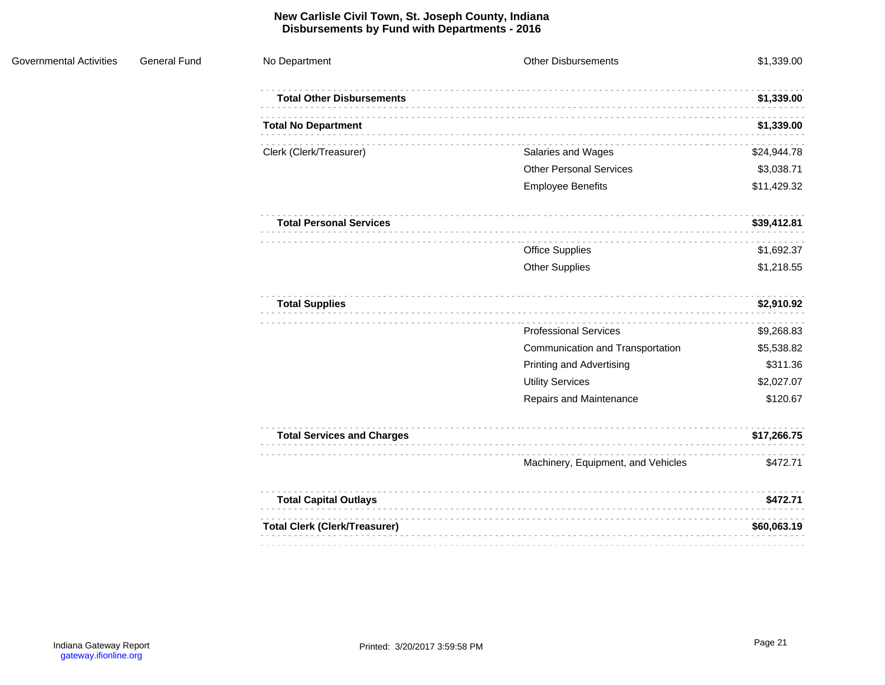#### **New Carlisle Civil Town, St. Joseph County, Indiana Disbursements by Fund with Departments - 2016**

| <b>General Fund</b><br><b>Governmental Activities</b> | No Department                        | <b>Other Disbursements</b>         | \$1,339.00  |
|-------------------------------------------------------|--------------------------------------|------------------------------------|-------------|
|                                                       | <b>Total Other Disbursements</b>     |                                    | \$1,339.00  |
|                                                       | <b>Total No Department</b>           |                                    | \$1,339.00  |
|                                                       | Clerk (Clerk/Treasurer)              | Salaries and Wages                 | \$24,944.78 |
|                                                       |                                      | <b>Other Personal Services</b>     | \$3,038.71  |
|                                                       |                                      | <b>Employee Benefits</b>           | \$11,429.32 |
|                                                       | <b>Total Personal Services</b>       |                                    | \$39,412.81 |
|                                                       |                                      | <b>Office Supplies</b>             | \$1,692.37  |
|                                                       |                                      | <b>Other Supplies</b>              | \$1,218.55  |
|                                                       | <b>Total Supplies</b>                |                                    | \$2,910.92  |
|                                                       |                                      | <b>Professional Services</b>       | \$9,268.83  |
|                                                       |                                      | Communication and Transportation   | \$5,538.82  |
|                                                       |                                      | <b>Printing and Advertising</b>    | \$311.36    |
|                                                       |                                      | <b>Utility Services</b>            | \$2,027.07  |
|                                                       |                                      | Repairs and Maintenance            | \$120.67    |
|                                                       | <b>Total Services and Charges</b>    |                                    | \$17,266.75 |
|                                                       |                                      | Machinery, Equipment, and Vehicles | \$472.71    |
|                                                       | <b>Total Capital Outlays</b>         |                                    | \$472.71    |
|                                                       | <b>Total Clerk (Clerk/Treasurer)</b> |                                    | \$60,063.19 |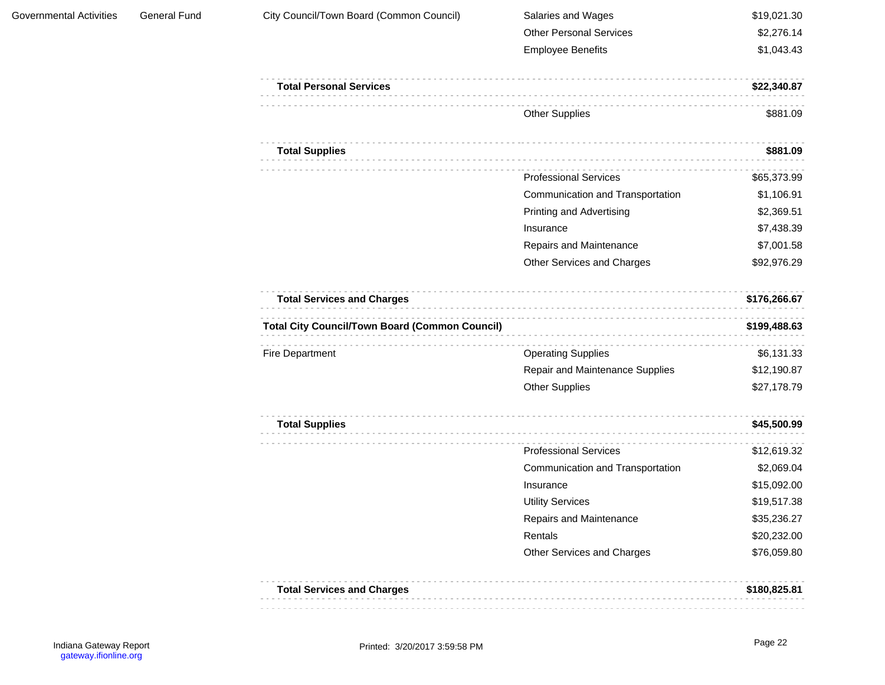| <b>Governmental Activities</b> | <b>General Fund</b> | City Council/Town Board (Common Council)              | Salaries and Wages               | \$19,021.30  |
|--------------------------------|---------------------|-------------------------------------------------------|----------------------------------|--------------|
|                                |                     |                                                       | <b>Other Personal Services</b>   | \$2,276.14   |
|                                |                     |                                                       | <b>Employee Benefits</b>         | \$1,043.43   |
|                                |                     | <b>Total Personal Services</b>                        |                                  | \$22,340.87  |
|                                |                     |                                                       | <b>Other Supplies</b>            | \$881.09     |
|                                |                     | <b>Total Supplies</b>                                 |                                  | \$881.09     |
|                                |                     |                                                       | <b>Professional Services</b>     | \$65,373.99  |
|                                |                     |                                                       | Communication and Transportation | \$1,106.91   |
|                                |                     |                                                       | <b>Printing and Advertising</b>  | \$2,369.51   |
|                                |                     |                                                       | Insurance                        | \$7,438.39   |
|                                |                     |                                                       | Repairs and Maintenance          | \$7,001.58   |
|                                |                     |                                                       | Other Services and Charges       | \$92,976.29  |
|                                |                     | <b>Total Services and Charges</b>                     |                                  | \$176,266.67 |
|                                |                     | <b>Total City Council/Town Board (Common Council)</b> |                                  | \$199,488.63 |
|                                |                     | Fire Department                                       | <b>Operating Supplies</b>        | \$6,131.33   |
|                                |                     |                                                       | Repair and Maintenance Supplies  | \$12,190.87  |
|                                |                     |                                                       | Other Supplies                   | \$27,178.79  |
|                                |                     | <b>Total Supplies</b>                                 |                                  | \$45,500.99  |
|                                |                     |                                                       | <b>Professional Services</b>     | \$12,619.32  |
|                                |                     |                                                       | Communication and Transportation | \$2,069.04   |
|                                |                     |                                                       | Insurance                        | \$15,092.00  |
|                                |                     |                                                       | <b>Utility Services</b>          | \$19,517.38  |
|                                |                     |                                                       | Repairs and Maintenance          | \$35,236.27  |
|                                |                     |                                                       | Rentals                          | \$20,232.00  |
|                                |                     |                                                       | Other Services and Charges       | \$76,059.80  |
|                                |                     | <b>Total Services and Charges</b>                     |                                  | \$180,825.81 |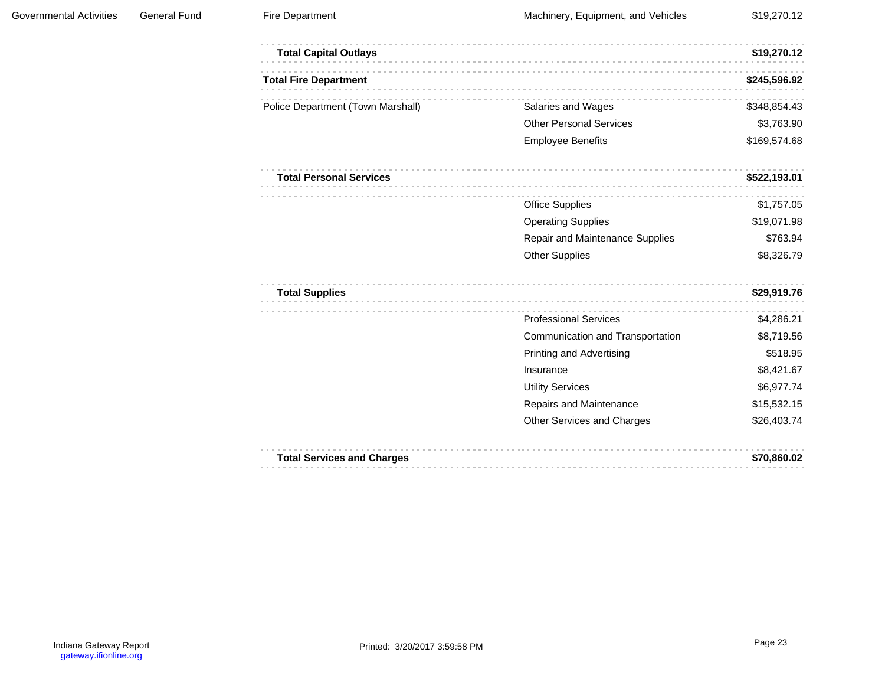| <b>Total Capital Outlays</b>      |                                  | \$19,270.12  |
|-----------------------------------|----------------------------------|--------------|
| <b>Total Fire Department</b>      |                                  | \$245,596.92 |
| Police Department (Town Marshall) | Salaries and Wages               | \$348,854.43 |
|                                   | <b>Other Personal Services</b>   | \$3,763.90   |
|                                   | <b>Employee Benefits</b>         | \$169,574.68 |
| <b>Total Personal Services</b>    |                                  | \$522,193.01 |
|                                   | <b>Office Supplies</b>           | \$1,757.05   |
|                                   | <b>Operating Supplies</b>        | \$19,071.98  |
|                                   | Repair and Maintenance Supplies  | \$763.94     |
|                                   | <b>Other Supplies</b>            | \$8,326.79   |
| <b>Total Supplies</b>             |                                  | \$29,919.76  |
|                                   | <b>Professional Services</b>     | \$4,286.21   |
|                                   | Communication and Transportation | \$8,719.56   |
|                                   | <b>Printing and Advertising</b>  | \$518.95     |
|                                   | Insurance                        | \$8,421.67   |
|                                   | <b>Utility Services</b>          | \$6,977.74   |
|                                   | Repairs and Maintenance          | \$15,532.15  |
|                                   | Other Services and Charges       | \$26,403.74  |
| <b>Total Services and Charges</b> |                                  | \$70.860.02  |

| <b>Total Services and Charges</b> | \$70,860.02 |
|-----------------------------------|-------------|
|                                   |             |
|                                   |             |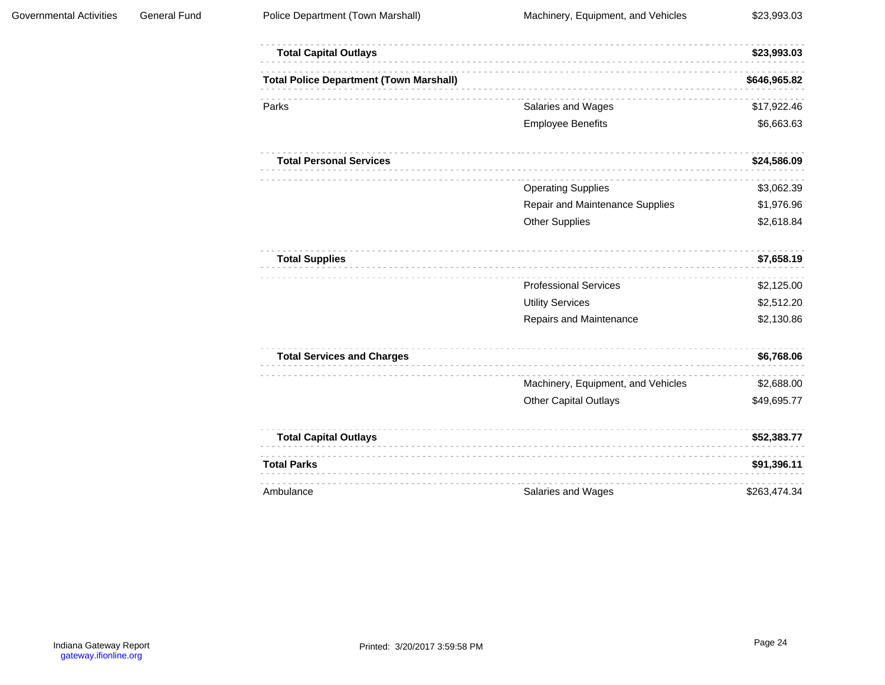| <b>Total Capital Outlays</b>                   |                                    | \$23,993.03  |
|------------------------------------------------|------------------------------------|--------------|
| <b>Total Police Department (Town Marshall)</b> |                                    | \$646,965.82 |
| Parks                                          | Salaries and Wages                 | \$17,922.46  |
|                                                | <b>Employee Benefits</b>           | \$6,663.63   |
| <b>Total Personal Services</b>                 |                                    | \$24,586.09  |
|                                                | <b>Operating Supplies</b>          | \$3,062.39   |
|                                                | Repair and Maintenance Supplies    | \$1,976.96   |
|                                                | <b>Other Supplies</b>              | \$2,618.84   |
| <b>Total Supplies</b>                          |                                    | \$7,658.19   |
|                                                | <b>Professional Services</b>       | \$2,125.00   |
|                                                | <b>Utility Services</b>            | \$2,512.20   |
|                                                | Repairs and Maintenance            | \$2,130.86   |
| <b>Total Services and Charges</b>              |                                    | \$6,768.06   |
|                                                | Machinery, Equipment, and Vehicles | \$2,688.00   |
|                                                | <b>Other Capital Outlays</b>       | \$49,695.77  |
| <b>Total Capital Outlays</b>                   |                                    | \$52,383.77  |
| <b>Total Parks</b>                             |                                    | \$91,396.11  |
| Ambulance                                      | Salaries and Wages                 | \$263,474.34 |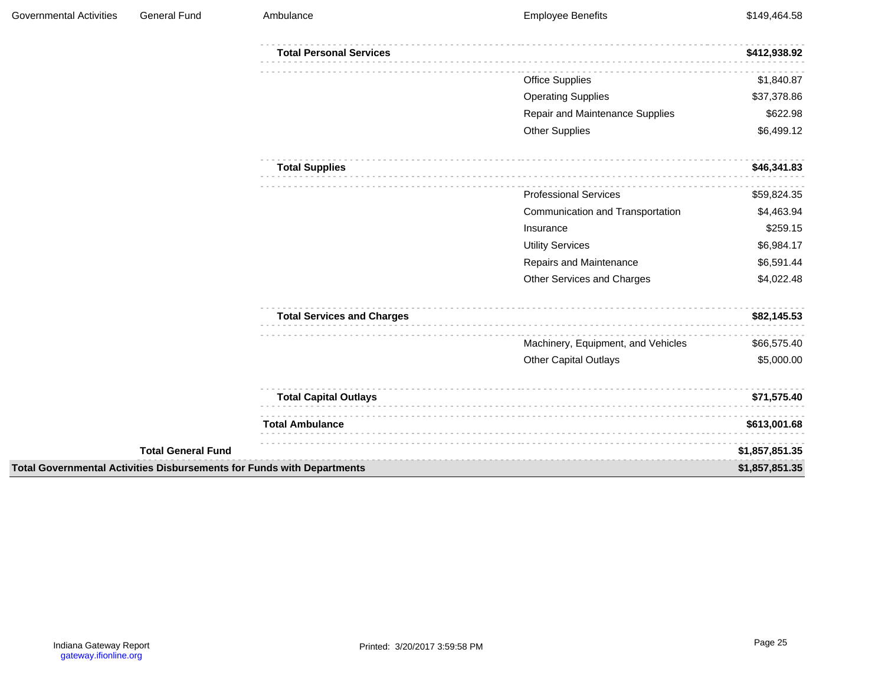| <b>Governmental Activities</b> | <b>General Fund</b>       | Ambulance                                                              | <b>Employee Benefits</b>           | \$149,464.58   |
|--------------------------------|---------------------------|------------------------------------------------------------------------|------------------------------------|----------------|
|                                |                           | <b>Total Personal Services</b>                                         |                                    | \$412,938.92   |
|                                |                           |                                                                        | <b>Office Supplies</b>             | \$1,840.87     |
|                                |                           |                                                                        | <b>Operating Supplies</b>          | \$37,378.86    |
|                                |                           |                                                                        | Repair and Maintenance Supplies    | \$622.98       |
|                                |                           |                                                                        | <b>Other Supplies</b>              | \$6,499.12     |
|                                |                           | <b>Total Supplies</b>                                                  |                                    | \$46,341.83    |
|                                |                           |                                                                        | <b>Professional Services</b>       | \$59,824.35    |
|                                |                           |                                                                        | Communication and Transportation   | \$4,463.94     |
|                                |                           |                                                                        | Insurance                          | \$259.15       |
|                                |                           |                                                                        | <b>Utility Services</b>            | \$6,984.17     |
|                                |                           |                                                                        | Repairs and Maintenance            | \$6,591.44     |
|                                |                           |                                                                        | Other Services and Charges         | \$4,022.48     |
|                                |                           | <b>Total Services and Charges</b>                                      |                                    | \$82,145.53    |
|                                |                           |                                                                        | Machinery, Equipment, and Vehicles | \$66,575.40    |
|                                | <b>Total General Fund</b> |                                                                        | <b>Other Capital Outlays</b>       | \$5,000.00     |
|                                |                           | <b>Total Capital Outlays</b>                                           |                                    | \$71,575.40    |
|                                |                           | <b>Total Ambulance</b>                                                 |                                    | \$613,001.68   |
|                                |                           |                                                                        |                                    | \$1,857,851.35 |
|                                |                           | Total Governmental Activities Disbursements for Funds with Departments |                                    | \$1,857,851.35 |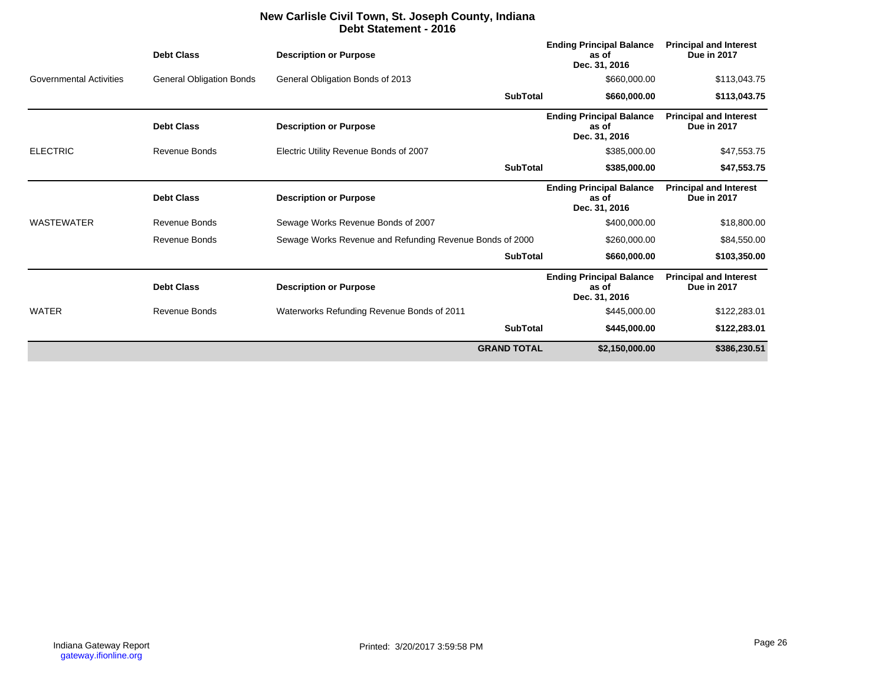### **New Carlisle Civil Town, St. Joseph County, Indiana Debt Statement - 2016**

|                                | <b>Debt Class</b>               | <b>Description or Purpose</b>                            | <b>Ending Principal Balance</b><br>as of<br>Dec. 31, 2016 | <b>Principal and Interest</b><br><b>Due in 2017</b> |
|--------------------------------|---------------------------------|----------------------------------------------------------|-----------------------------------------------------------|-----------------------------------------------------|
| <b>Governmental Activities</b> | <b>General Obligation Bonds</b> | General Obligation Bonds of 2013                         | \$660,000.00                                              | \$113,043.75                                        |
|                                |                                 | <b>SubTotal</b>                                          | \$660,000.00                                              | \$113,043.75                                        |
|                                | <b>Debt Class</b>               | <b>Description or Purpose</b>                            | <b>Ending Principal Balance</b><br>as of<br>Dec. 31, 2016 | <b>Principal and Interest</b><br><b>Due in 2017</b> |
| <b>ELECTRIC</b>                | Revenue Bonds                   | Electric Utility Revenue Bonds of 2007                   | \$385,000.00                                              | \$47,553.75                                         |
|                                |                                 | <b>SubTotal</b>                                          | \$385,000.00                                              | \$47,553.75                                         |
|                                | <b>Debt Class</b>               | <b>Description or Purpose</b>                            | <b>Ending Principal Balance</b><br>as of<br>Dec. 31, 2016 | <b>Principal and Interest</b><br><b>Due in 2017</b> |
| <b>WASTEWATER</b>              | <b>Revenue Bonds</b>            | Sewage Works Revenue Bonds of 2007                       | \$400,000.00                                              | \$18,800.00                                         |
|                                | Revenue Bonds                   | Sewage Works Revenue and Refunding Revenue Bonds of 2000 | \$260,000.00                                              | \$84,550.00                                         |
|                                |                                 | <b>SubTotal</b>                                          | \$660,000.00                                              | \$103,350.00                                        |
|                                | <b>Debt Class</b>               | <b>Description or Purpose</b>                            | <b>Ending Principal Balance</b><br>as of<br>Dec. 31, 2016 | <b>Principal and Interest</b><br><b>Due in 2017</b> |
| <b>WATER</b>                   | <b>Revenue Bonds</b>            | Waterworks Refunding Revenue Bonds of 2011               | \$445,000.00                                              | \$122,283.01                                        |
|                                |                                 | <b>SubTotal</b>                                          | \$445,000.00                                              | \$122,283.01                                        |
|                                |                                 | <b>GRAND TOTAL</b>                                       | \$2,150,000.00                                            | \$386,230.51                                        |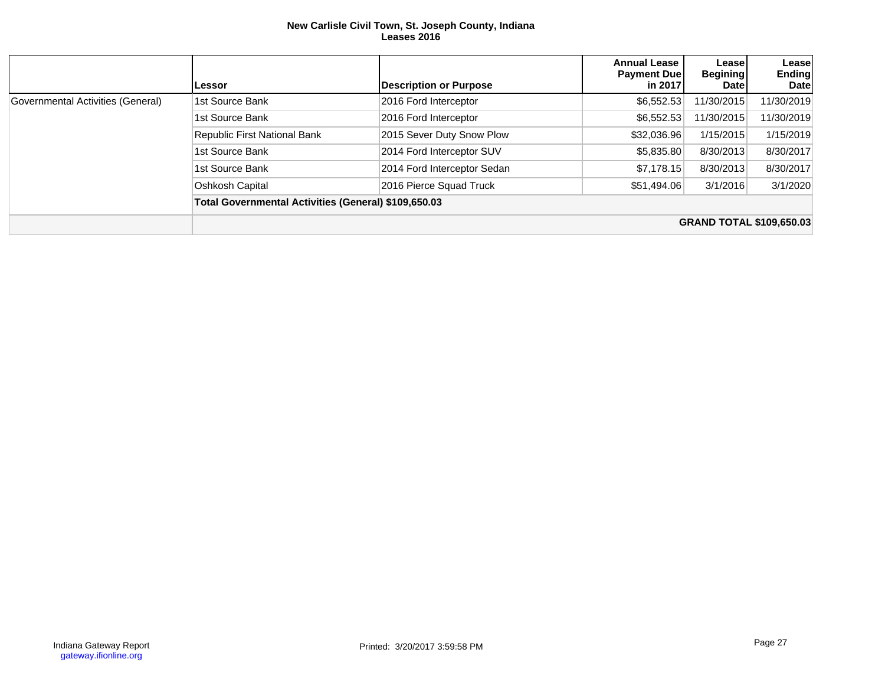#### **New Carlisle Civil Town, St. Joseph County, Indiana Leases 2016**

|                                   | Lessor                                               | <b>Description or Purpose</b> | <b>Annual Lease</b><br><b>Payment Duel</b><br>in 2017 | Lease<br><b>Begining</b><br><b>Date</b> | Lease<br><b>Ending</b><br><b>Date</b> |  |  |  |  |
|-----------------------------------|------------------------------------------------------|-------------------------------|-------------------------------------------------------|-----------------------------------------|---------------------------------------|--|--|--|--|
| Governmental Activities (General) | 1st Source Bank                                      | 2016 Ford Interceptor         | \$6,552.53                                            | 11/30/2015                              | 11/30/2019                            |  |  |  |  |
|                                   | 1st Source Bank                                      | 2016 Ford Interceptor         | \$6.552.53                                            | 11/30/2015                              | 11/30/2019                            |  |  |  |  |
|                                   | Republic First National Bank                         | 2015 Sever Duty Snow Plow     | \$32,036.96                                           | 1/15/2015                               | 1/15/2019                             |  |  |  |  |
|                                   | 1st Source Bank                                      | 2014 Ford Interceptor SUV     | \$5,835.80                                            | 8/30/2013                               | 8/30/2017                             |  |  |  |  |
|                                   | 1st Source Bank                                      | 2014 Ford Interceptor Sedan   | \$7,178.15                                            | 8/30/2013                               | 8/30/2017                             |  |  |  |  |
|                                   | Oshkosh Capital                                      | 2016 Pierce Squad Truck       | \$51,494.06                                           | 3/1/2016                                | 3/1/2020                              |  |  |  |  |
|                                   | Total Governmental Activities (General) \$109,650.03 |                               |                                                       |                                         |                                       |  |  |  |  |
|                                   |                                                      |                               |                                                       |                                         | <b>GRAND TOTAL \$109,650.03</b>       |  |  |  |  |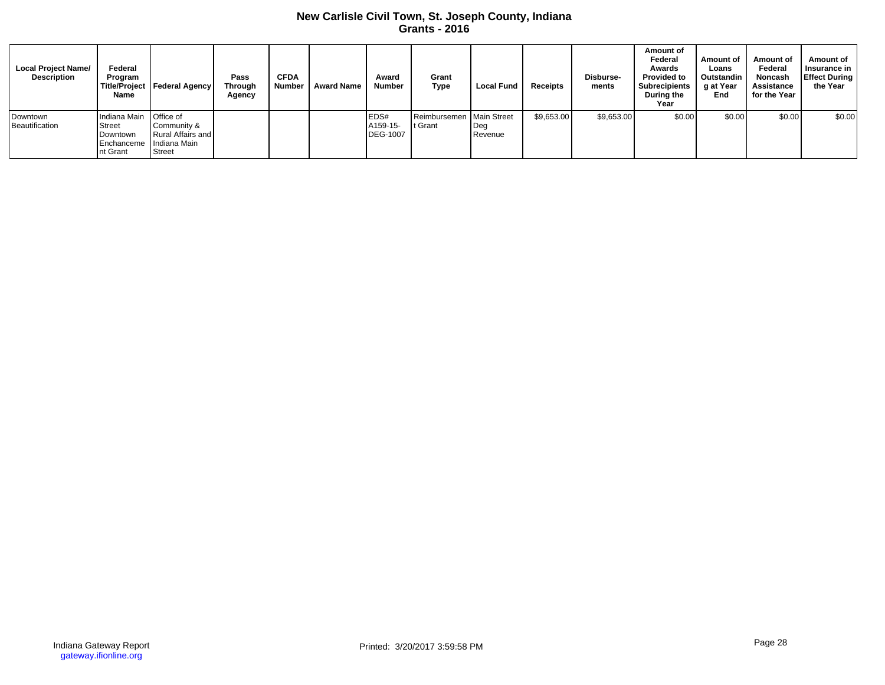## **New Carlisle Civil Town, St. Joseph County, Indiana Grants - 2016**

| <b>Local Project Name/</b><br><b>Description</b> | Federal<br>Program<br>Name                                                   | Title/Project   Federal Agency                                   | Pass<br><b>Through</b><br>Agency | <b>CFDA</b><br>Number | <b>Award Name</b> | Award<br>Number                     | Grant<br><b>Type</b>                | <b>Local Fund</b> | Receipts   | Disburse-<br>ments | Amount of<br>Federal<br>Awards<br><b>Provided to</b><br><b>Subrecipients</b><br>During the<br>Year | Amount of<br>Loans<br>Outstandin<br>g at Year<br>End | Amount of<br>Federal<br><b>Noncash</b><br>Assistance<br>for the Year | Amount of<br>Insurance in<br><b>Effect During</b><br>the Year |
|--------------------------------------------------|------------------------------------------------------------------------------|------------------------------------------------------------------|----------------------------------|-----------------------|-------------------|-------------------------------------|-------------------------------------|-------------------|------------|--------------------|----------------------------------------------------------------------------------------------------|------------------------------------------------------|----------------------------------------------------------------------|---------------------------------------------------------------|
| Downtown<br>Beautification                       | Indiana Main<br>Street<br>Downtown<br>I Enchanceme IIndiana Main<br>nt Grant | <b>Office of</b><br>Community &<br>Rural Affairs and I<br>Street |                                  |                       |                   | EDS#<br>A159-15-<br><b>DEG-1007</b> | Reimbursemen Main Street<br>t Grant | Deg<br>Revenue    | \$9,653.00 | \$9,653.00         | \$0.00                                                                                             | \$0.00                                               | \$0.00                                                               | \$0.00                                                        |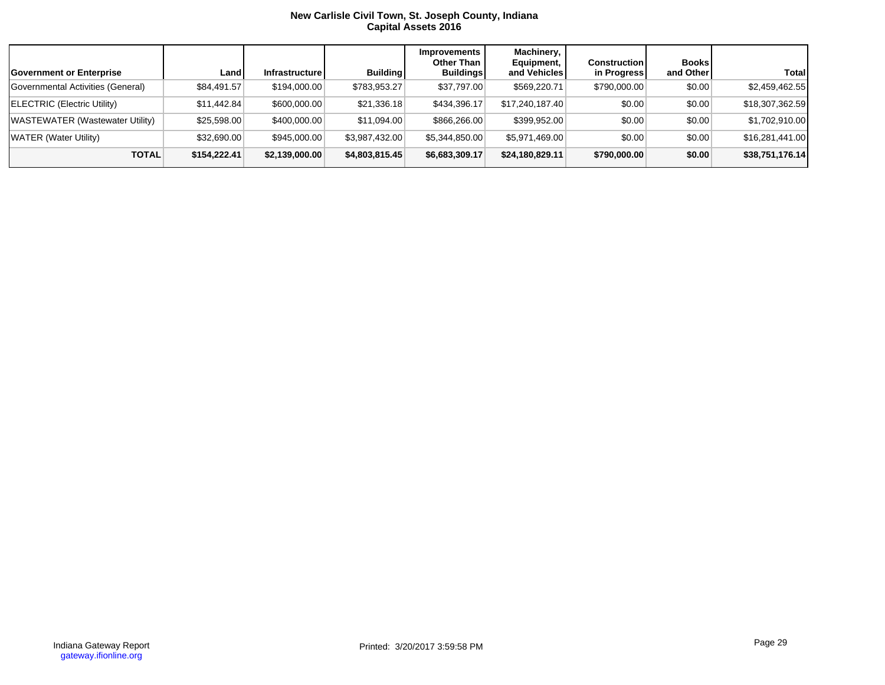#### **New Carlisle Civil Town, St. Joseph County, Indiana Capital Assets 2016**

| Government or Enterprise          | Land         | Infrastructure | <b>Building</b> | Improvements<br>Other Than<br><b>Buildings</b> | Machinery,<br>Equipment,<br>and Vehicles | <b>Construction</b><br>in Progress | <b>Books</b><br>and Other | Total            |
|-----------------------------------|--------------|----------------|-----------------|------------------------------------------------|------------------------------------------|------------------------------------|---------------------------|------------------|
| Governmental Activities (General) | \$84,491.57  | \$194,000.00   | \$783,953.27    | \$37,797.00                                    | \$569,220.71                             | \$790,000.00                       | \$0.00                    | \$2,459,462.55   |
| ELECTRIC (Electric Utility)       | \$11,442.84  | \$600,000.00   | \$21,336.18     | \$434,396.17                                   | \$17,240,187.40                          | \$0.00                             | \$0.00                    | \$18,307,362.59  |
| WASTEWATER (Wastewater Utility)   | \$25,598.00  | \$400,000.00   | \$11.094.00     | \$866,266.00                                   | \$399,952.00                             | \$0.00                             | \$0.00                    | \$1,702,910.00   |
| WATER (Water Utility)             | \$32,690.00  | \$945,000,00   | \$3,987,432.00  | \$5,344,850.00                                 | \$5,971,469.00                           | \$0.00                             | \$0.00                    | \$16,281,441.00  |
| <b>TOTAL</b>                      | \$154,222.41 | \$2,139,000.00 | \$4,803,815.45  | \$6,683,309.17                                 | \$24,180,829.11                          | \$790,000.00                       | \$0.00                    | \$38,751,176.14] |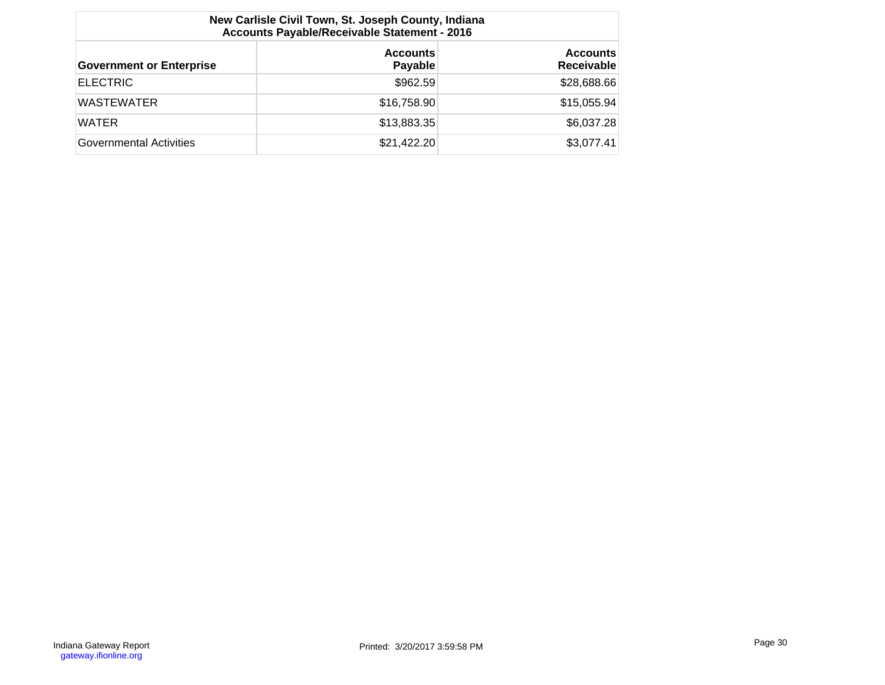| New Carlisle Civil Town, St. Joseph County, Indiana<br>Accounts Payable/Receivable Statement - 2016 |                            |                                      |  |  |  |  |  |  |
|-----------------------------------------------------------------------------------------------------|----------------------------|--------------------------------------|--|--|--|--|--|--|
| <b>Government or Enterprise</b>                                                                     | <b>Accounts</b><br>Payable | <b>Accounts</b><br><b>Receivable</b> |  |  |  |  |  |  |
| <b>ELECTRIC</b>                                                                                     | \$962.59                   | \$28,688.66                          |  |  |  |  |  |  |
| <b>WASTEWATER</b>                                                                                   | \$16,758.90                | \$15,055.94                          |  |  |  |  |  |  |
| <b>WATER</b>                                                                                        | \$13,883.35                | \$6,037.28                           |  |  |  |  |  |  |
| Governmental Activities                                                                             | \$21,422.20                | \$3,077.41                           |  |  |  |  |  |  |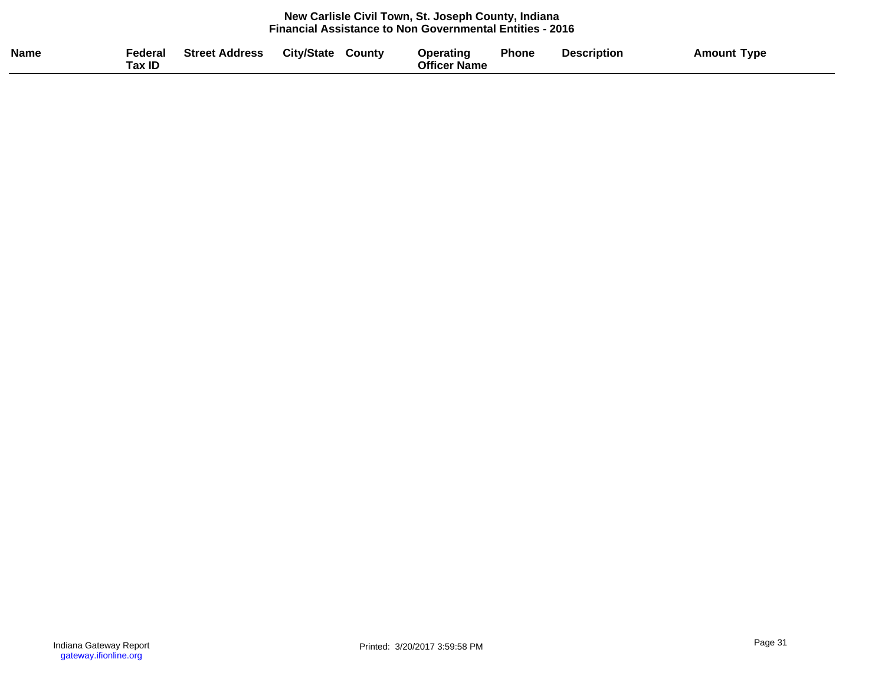#### **New Carlisle Civil Town, St. Joseph County, Indiana Financial Assistance to Non Governmental Entities - 2016**

| <b>Name</b> | Federal<br>ax ID | <b>Street Address</b> | <b>City/State</b> | County | Operating<br><b>Officer Name</b> | Phone | <b>Description</b> | <b>Amount Type</b> |
|-------------|------------------|-----------------------|-------------------|--------|----------------------------------|-------|--------------------|--------------------|
|             |                  |                       |                   |        |                                  |       |                    |                    |